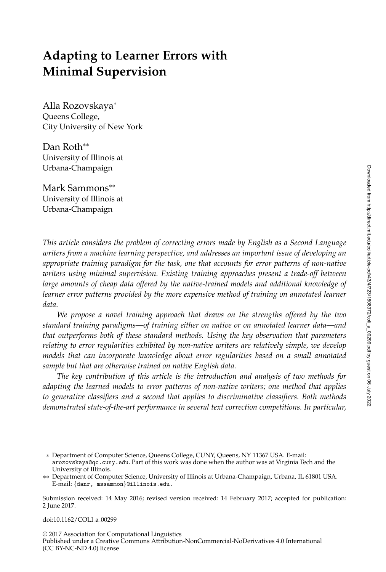# **Adapting to Learner Errors with Minimal Supervision**

Alla Rozovskaya<sup>∗</sup> Queens College, City University of New York

Dan Roth∗∗ University of Illinois at Urbana-Champaign

Mark Sammons∗∗ University of Illinois at Urbana-Champaign

*This article considers the problem of correcting errors made by English as a Second Language writers from a machine learning perspective, and addresses an important issue of developing an appropriate training paradigm for the task, one that accounts for error patterns of non-native writers using minimal supervision. Existing training approaches present a trade-off between large amounts of cheap data offered by the native-trained models and additional knowledge of learner error patterns provided by the more expensive method of training on annotated learner data.*

*We propose a novel training approach that draws on the strengths offered by the two standard training paradigms—of training either on native or on annotated learner data—and that outperforms both of these standard methods. Using the key observation that parameters relating to error regularities exhibited by non-native writers are relatively simple, we develop models that can incorporate knowledge about error regularities based on a small annotated sample but that are otherwise trained on native English data.*

*The key contribution of this article is the introduction and analysis of two methods for adapting the learned models to error patterns of non-native writers; one method that applies to generative classifiers and a second that applies to discriminative classifiers. Both methods demonstrated state-of-the-art performance in several text correction competitions. In particular,*

doi:10.1162/COLI a 00299

© 2017 Association for Computational Linguistics

<sup>∗</sup> Department of Computer Science, Queens College, CUNY, Queens, NY 11367 USA. E-mail: arozovskaya@qc.cuny.edu. Part of this work was done when the author was at Virginia Tech and the University of Illinois.

<sup>∗∗</sup> Department of Computer Science, University of Illinois at Urbana-Champaign, Urbana, IL 61801 USA. E-mail: {danr, mssammon}@illinois.edu.

Submission received: 14 May 2016; revised version received: 14 February 2017; accepted for publication: 2 June 2017.

Published under a Creative Commons Attribution-NonCommercial-NoDerivatives 4.0 International (CC BY-NC-ND 4.0) license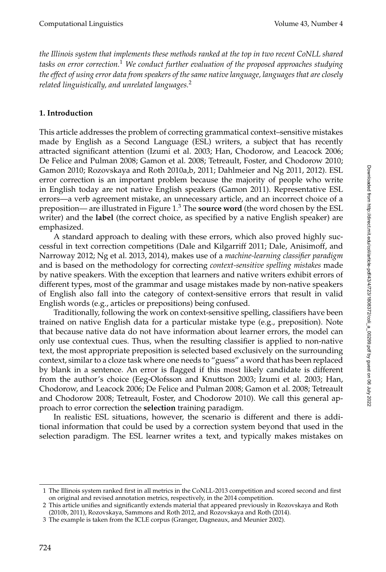*the Illinois system that implements these methods ranked at the top in two recent CoNLL shared tasks on error correction.*<sup>1</sup> *We conduct further evaluation of the proposed approaches studying the effect of using error data from speakers of the same native language, languages that are closely related linguistically, and unrelated languages.*<sup>2</sup>

# **1. Introduction**

This article addresses the problem of correcting grammatical context–sensitive mistakes made by English as a Second Language (ESL) writers, a subject that has recently attracted significant attention (Izumi et al. 2003; Han, Chodorow, and Leacock 2006; De Felice and Pulman 2008; Gamon et al. 2008; Tetreault, Foster, and Chodorow 2010; Gamon 2010; Rozovskaya and Roth 2010a,b, 2011; Dahlmeier and Ng 2011, 2012). ESL error correction is an important problem because the majority of people who write in English today are not native English speakers (Gamon 2011). Representative ESL errors—a verb agreement mistake, an unnecessary article, and an incorrect choice of a preposition— are illustrated in Figure 1.<sup>3</sup> The **source word** (the word chosen by the ESL writer) and the **label** (the correct choice, as specified by a native English speaker) are emphasized.

A standard approach to dealing with these errors, which also proved highly successful in text correction competitions (Dale and Kilgarriff 2011; Dale, Anisimoff, and Narroway 2012; Ng et al. 2013, 2014), makes use of a *machine-learning classifier paradigm* and is based on the methodology for correcting *context-sensitive spelling mistakes* made by native speakers. With the exception that learners and native writers exhibit errors of different types, most of the grammar and usage mistakes made by non-native speakers of English also fall into the category of context-sensitive errors that result in valid English words (e.g., articles or prepositions) being confused.

Traditionally, following the work on context-sensitive spelling, classifiers have been trained on native English data for a particular mistake type (e.g., preposition). Note that because native data do not have information about learner errors, the model can only use contextual cues. Thus, when the resulting classifier is applied to non-native text, the most appropriate preposition is selected based exclusively on the surrounding context, similar to a cloze task where one needs to "guess" a word that has been replaced by blank in a sentence. An error is flagged if this most likely candidate is different from the author's choice (Eeg-Olofsson and Knuttson 2003; Izumi et al. 2003; Han, Chodorow, and Leacock 2006; De Felice and Pulman 2008; Gamon et al. 2008; Tetreault and Chodorow 2008; Tetreault, Foster, and Chodorow 2010). We call this general approach to error correction the **selection** training paradigm.

In realistic ESL situations, however, the scenario is different and there is additional information that could be used by a correction system beyond that used in the selection paradigm. The ESL learner writes a text, and typically makes mistakes on

<sup>1</sup> The Illinois system ranked first in all metrics in the CoNLL-2013 competition and scored second and first on original and revised annotation metrics, respectively, in the 2014 competition.

<sup>2</sup> This article unifies and significantly extends material that appeared previously in Rozovskaya and Roth (2010b, 2011), Rozovskaya, Sammons and Roth 2012, and Rozovskaya and Roth (2014).

<sup>3</sup> The example is taken from the ICLE corpus (Granger, Dagneaux, and Meunier 2002).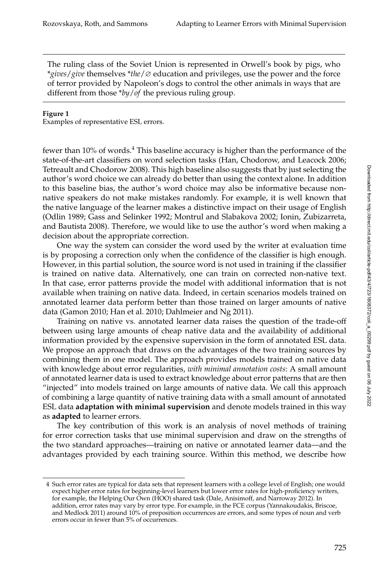The ruling class of the Soviet Union is represented in Orwell's book by pigs, who \**gives*/*give* themselves \**the*/∅ education and privileges, use the power and the force of terror provided by Napoleon's dogs to control the other animals in ways that are different from those \**by*/*of* the previous ruling group.

#### **Figure 1**

Examples of representative ESL errors.

fewer than 10% of words.<sup>4</sup> This baseline accuracy is higher than the performance of the state-of-the-art classifiers on word selection tasks (Han, Chodorow, and Leacock 2006; Tetreault and Chodorow 2008). This high baseline also suggests that by just selecting the author's word choice we can already do better than using the context alone. In addition to this baseline bias, the author's word choice may also be informative because nonnative speakers do not make mistakes randomly. For example, it is well known that the native language of the learner makes a distinctive impact on their usage of English (Odlin 1989; Gass and Selinker 1992; Montrul and Slabakova 2002; Ionin, Zubizarreta, and Bautista 2008). Therefore, we would like to use the author's word when making a decision about the appropriate correction.

One way the system can consider the word used by the writer at evaluation time is by proposing a correction only when the confidence of the classifier is high enough. However, in this partial solution, the source word is not used in training if the classifier is trained on native data. Alternatively, one can train on corrected non-native text. In that case, error patterns provide the model with additional information that is not available when training on native data. Indeed, in certain scenarios models trained on annotated learner data perform better than those trained on larger amounts of native data (Gamon 2010; Han et al. 2010; Dahlmeier and Ng 2011).

Training on native vs. annotated learner data raises the question of the trade-off between using large amounts of cheap native data and the availability of additional information provided by the expensive supervision in the form of annotated ESL data. We propose an approach that draws on the advantages of the two training sources by combining them in one model. The approach provides models trained on native data with knowledge about error regularities, *with minimal annotation costs*: A small amount of annotated learner data is used to extract knowledge about error patterns that are then "injected" into models trained on large amounts of native data. We call this approach of combining a large quantity of native training data with a small amount of annotated ESL data **adaptation with minimal supervision** and denote models trained in this way as **adapted** to learner errors.

The key contribution of this work is an analysis of novel methods of training for error correction tasks that use minimal supervision and draw on the strengths of the two standard approaches—training on native or annotated learner data—and the advantages provided by each training source. Within this method, we describe how

<sup>4</sup> Such error rates are typical for data sets that represent learners with a college level of English; one would expect higher error rates for beginning-level learners but lower error rates for high-proficiency writers, for example, the Helping Our Own (HOO) shared task (Dale, Anisimoff, and Narroway 2012). In addition, error rates may vary by error type. For example, in the FCE corpus (Yannakoudakis, Briscoe, and Medlock 2011) around 10% of preposition occurrences are errors, and some types of noun and verb errors occur in fewer than 5% of occurrences.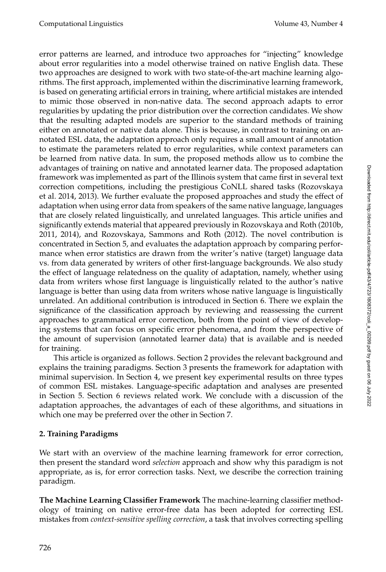error patterns are learned, and introduce two approaches for "injecting" knowledge about error regularities into a model otherwise trained on native English data. These two approaches are designed to work with two state-of-the-art machine learning algorithms. The first approach, implemented within the discriminative learning framework, is based on generating artificial errors in training, where artificial mistakes are intended to mimic those observed in non-native data. The second approach adapts to error regularities by updating the prior distribution over the correction candidates. We show that the resulting adapted models are superior to the standard methods of training either on annotated or native data alone. This is because, in contrast to training on annotated ESL data, the adaptation approach only requires a small amount of annotation to estimate the parameters related to error regularities, while context parameters can be learned from native data. In sum, the proposed methods allow us to combine the advantages of training on native and annotated learner data. The proposed adaptation framework was implemented as part of the Illinois system that came first in several text correction competitions, including the prestigious CoNLL shared tasks (Rozovskaya et al. 2014, 2013). We further evaluate the proposed approaches and study the effect of adaptation when using error data from speakers of the same native language, languages that are closely related linguistically, and unrelated languages. This article unifies and significantly extends material that appeared previously in Rozovskaya and Roth (2010b, 2011, 2014), and Rozovskaya, Sammons and Roth (2012). The novel contribution is concentrated in Section 5, and evaluates the adaptation approach by comparing performance when error statistics are drawn from the writer's native (target) language data vs. from data generated by writers of other first-language backgrounds. We also study the effect of language relatedness on the quality of adaptation, namely, whether using data from writers whose first language is linguistically related to the author's native language is better than using data from writers whose native language is linguistically unrelated. An additional contribution is introduced in Section 6. There we explain the significance of the classification approach by reviewing and reassessing the current approaches to grammatical error correction, both from the point of view of developing systems that can focus on specific error phenomena, and from the perspective of the amount of supervision (annotated learner data) that is available and is needed for training.

This article is organized as follows. Section 2 provides the relevant background and explains the training paradigms. Section 3 presents the framework for adaptation with minimal supervision. In Section 4, we present key experimental results on three types of common ESL mistakes. Language-specific adaptation and analyses are presented in Section 5. Section 6 reviews related work. We conclude with a discussion of the adaptation approaches, the advantages of each of these algorithms, and situations in which one may be preferred over the other in Section 7.

# **2. Training Paradigms**

We start with an overview of the machine learning framework for error correction, then present the standard word *selection* approach and show why this paradigm is not appropriate, as is, for error correction tasks. Next, we describe the correction training paradigm.

**The Machine Learning Classifier Framework** The machine-learning classifier methodology of training on native error-free data has been adopted for correcting ESL mistakes from *context-sensitive spelling correction*, a task that involves correcting spelling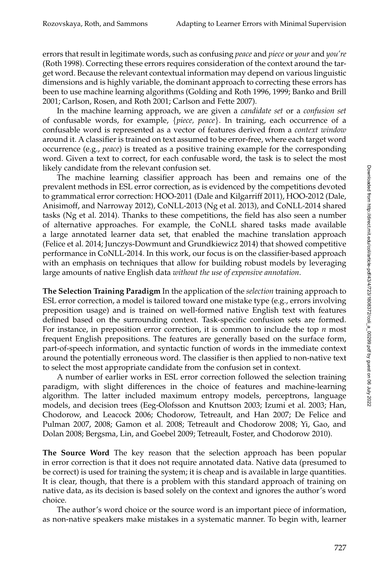errors that result in legitimate words, such as confusing *peace* and *piece* or *your* and *you're* (Roth 1998). Correcting these errors requires consideration of the context around the target word. Because the relevant contextual information may depend on various linguistic dimensions and is highly variable, the dominant approach to correcting these errors has been to use machine learning algorithms (Golding and Roth 1996, 1999; Banko and Brill 2001; Carlson, Rosen, and Roth 2001; Carlson and Fette 2007).

In the machine learning approach, we are given a *candidate set* or a *confusion set* of confusable words, for example, {*piece, peace*}. In training, each occurrence of a confusable word is represented as a vector of features derived from a *context window* around it. A classifier is trained on text assumed to be error-free, where each target word occurrence (e.g., *peace*) is treated as a positive training example for the corresponding word. Given a text to correct, for each confusable word, the task is to select the most likely candidate from the relevant confusion set.

The machine learning classifier approach has been and remains one of the prevalent methods in ESL error correction, as is evidenced by the competitions devoted to grammatical error correction: HOO-2011 (Dale and Kilgarriff 2011), HOO-2012 (Dale, Anisimoff, and Narroway 2012), CoNLL-2013 (Ng et al. 2013), and CoNLL-2014 shared tasks (Ng et al. 2014). Thanks to these competitions, the field has also seen a number of alternative approaches. For example, the CoNLL shared tasks made available a large annotated learner data set, that enabled the machine translation approach (Felice et al. 2014; Junczys-Dowmunt and Grundkiewicz 2014) that showed competitive performance in CoNLL-2014. In this work, our focus is on the classifier-based approach with an emphasis on techniques that allow for building robust models by leveraging large amounts of native English data *without the use of expensive annotation*.

**The Selection Training Paradigm** In the application of the *selection* training approach to ESL error correction, a model is tailored toward one mistake type (e.g., errors involving preposition usage) and is trained on well-formed native English text with features defined based on the surrounding context. Task-specific confusion sets are formed. For instance, in preposition error correction, it is common to include the top *n* most frequent English prepositions. The features are generally based on the surface form, part-of-speech information, and syntactic function of words in the immediate context around the potentially erroneous word. The classifier is then applied to non-native text to select the most appropriate candidate from the confusion set in context.

A number of earlier works in ESL error correction followed the selection training paradigm, with slight differences in the choice of features and machine-learning algorithm. The latter included maximum entropy models, perceptrons, language models, and decision trees (Eeg-Olofsson and Knuttson 2003; Izumi et al. 2003; Han, Chodorow, and Leacock 2006; Chodorow, Tetreault, and Han 2007; De Felice and Pulman 2007, 2008; Gamon et al. 2008; Tetreault and Chodorow 2008; Yi, Gao, and Dolan 2008; Bergsma, Lin, and Goebel 2009; Tetreault, Foster, and Chodorow 2010).

**The Source Word** The key reason that the selection approach has been popular in error correction is that it does not require annotated data. Native data (presumed to be correct) is used for training the system; it is cheap and is available in large quantities. It is clear, though, that there is a problem with this standard approach of training on native data, as its decision is based solely on the context and ignores the author's word choice.

The author's word choice or the source word is an important piece of information, as non-native speakers make mistakes in a systematic manner. To begin with, learner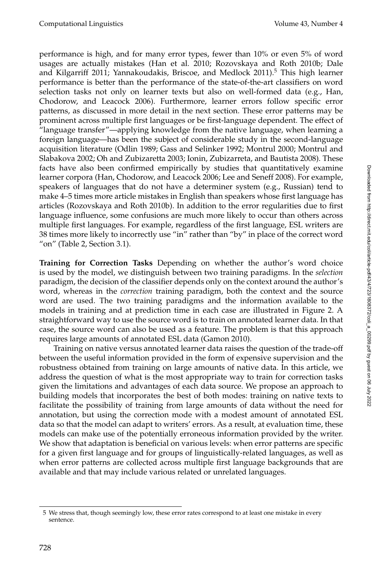performance is high, and for many error types, fewer than 10% or even 5% of word usages are actually mistakes (Han et al. 2010; Rozovskaya and Roth 2010b; Dale and Kilgarriff 2011; Yannakoudakis, Briscoe, and Medlock 2011).<sup>5</sup> This high learner performance is better than the performance of the state-of-the-art classifiers on word selection tasks not only on learner texts but also on well-formed data (e.g., Han, Chodorow, and Leacock 2006). Furthermore, learner errors follow specific error patterns, as discussed in more detail in the next section. These error patterns may be prominent across multiple first languages or be first-language dependent. The effect of "language transfer"—applying knowledge from the native language, when learning a foreign language—has been the subject of considerable study in the second-language acquisition literature (Odlin 1989; Gass and Selinker 1992; Montrul 2000; Montrul and Slabakova 2002; Oh and Zubizaretta 2003; Ionin, Zubizarreta, and Bautista 2008). These facts have also been confirmed empirically by studies that quantitatively examine learner corpora (Han, Chodorow, and Leacock 2006; Lee and Seneff 2008). For example, speakers of languages that do not have a determiner system (e.g., Russian) tend to make 4–5 times more article mistakes in English than speakers whose first language has articles (Rozovskaya and Roth 2010b). In addition to the error regularities due to first language influence, some confusions are much more likely to occur than others across multiple first languages. For example, regardless of the first language, ESL writers are 38 times more likely to incorrectly use "in" rather than "by" in place of the correct word "on" (Table 2, Section 3.1).

**Training for Correction Tasks** Depending on whether the author's word choice is used by the model, we distinguish between two training paradigms. In the *selection* paradigm, the decision of the classifier depends only on the context around the author's word, whereas in the *correction* training paradigm, both the context and the source word are used. The two training paradigms and the information available to the models in training and at prediction time in each case are illustrated in Figure 2. A straightforward way to use the source word is to train on annotated learner data. In that case, the source word can also be used as a feature. The problem is that this approach requires large amounts of annotated ESL data (Gamon 2010).

Training on native versus annotated learner data raises the question of the trade-off between the useful information provided in the form of expensive supervision and the robustness obtained from training on large amounts of native data. In this article, we address the question of what is the most appropriate way to train for correction tasks given the limitations and advantages of each data source. We propose an approach to building models that incorporates the best of both modes: training on native texts to facilitate the possibility of training from large amounts of data without the need for annotation, but using the correction mode with a modest amount of annotated ESL data so that the model can adapt to writers' errors. As a result, at evaluation time, these models can make use of the potentially erroneous information provided by the writer. We show that adaptation is beneficial on various levels: when error patterns are specific for a given first language and for groups of linguistically-related languages, as well as when error patterns are collected across multiple first language backgrounds that are available and that may include various related or unrelated languages.

<sup>5</sup> We stress that, though seemingly low, these error rates correspond to at least one mistake in every sentence.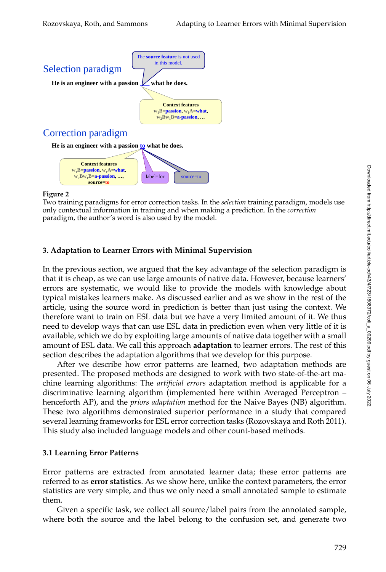



#### **Figure 2**

Two training paradigms for error correction tasks. In the *selection* training paradigm, models use only contextual information in training and when making a prediction. In the *correction* paradigm, the author's word is also used by the model.

#### **3. Adaptation to Learner Errors with Minimal Supervision**

In the previous section, we argued that the key advantage of the selection paradigm is that it is cheap, as we can use large amounts of native data. However, because learners' errors are systematic, we would like to provide the models with knowledge about typical mistakes learners make. As discussed earlier and as we show in the rest of the article, using the source word in prediction is better than just using the context. We therefore want to train on ESL data but we have a very limited amount of it. We thus need to develop ways that can use ESL data in prediction even when very little of it is available, which we do by exploiting large amounts of native data together with a small amount of ESL data. We call this approach **adaptation** to learner errors. The rest of this section describes the adaptation algorithms that we develop for this purpose.

After we describe how error patterns are learned, two adaptation methods are presented. The proposed methods are designed to work with two state-of-the-art machine learning algorithms: The *artificial errors* adaptation method is applicable for a discriminative learning algorithm (implemented here within Averaged Perceptron – henceforth AP), and the *priors adaptation* method for the Naive Bayes (NB) algorithm. These two algorithms demonstrated superior performance in a study that compared several learning frameworks for ESL error correction tasks (Rozovskaya and Roth 2011). This study also included language models and other count-based methods.

#### **3.1 Learning Error Patterns**

Error patterns are extracted from annotated learner data; these error patterns are referred to as **error statistics**. As we show here, unlike the context parameters, the error statistics are very simple, and thus we only need a small annotated sample to estimate them.

Given a specific task, we collect all source/label pairs from the annotated sample, where both the source and the label belong to the confusion set, and generate two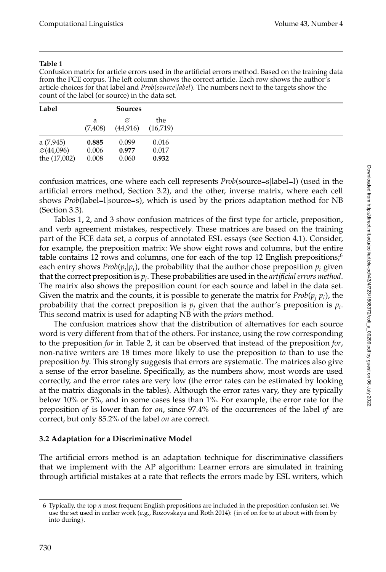Confusion matrix for article errors used in the artificial errors method. Based on the training data from the FCE corpus. The left column shows the correct article. Each row shows the author's article choices for that label and *Prob*(*source*|*label*). The numbers next to the targets show the count of the label (or source) in the data set.

| Label                  | <b>Sources</b> |          |          |
|------------------------|----------------|----------|----------|
|                        | a              | Ø        | the      |
|                        | (7,408)        | (44,916) | (16,719) |
| a $(7,945)$            | 0.885          | 0.099    | 0.016    |
| $\varnothing$ (44,096) | 0.006          | 0.977    | 0.017    |
| the $(17,002)$         | 0.008          | 0.060    | 0.932    |

confusion matrices, one where each cell represents *Prob*(source=s|label=l) (used in the artificial errors method, Section 3.2), and the other, inverse matrix, where each cell shows *Prob*(label=l|source=s), which is used by the priors adaptation method for NB (Section 3.3).

Tables 1, 2, and 3 show confusion matrices of the first type for article, preposition, and verb agreement mistakes, respectively. These matrices are based on the training part of the FCE data set, a corpus of annotated ESL essays (see Section 4.1). Consider, for example, the preposition matrix: We show eight rows and columns, but the entire table contains 12 rows and columns, one for each of the top 12 English prepositions; $<sup>6</sup>$ </sup> each entry shows  $Prob(p_i|p_j)$ , the probability that the author chose preposition  $p_i$  given that the correct preposition is *p<sup>j</sup>* . These probabilities are used in the *artificial errors method*. The matrix also shows the preposition count for each source and label in the data set. Given the matrix and the counts, it is possible to generate the matrix for  $Prob(p_j|p_i)$ , the probability that the correct preposition is  $p_j$  given that the author's preposition is  $p_i$ . This second matrix is used for adapting NB with the *priors* method.

The confusion matrices show that the distribution of alternatives for each source word is very different from that of the others. For instance, using the row corresponding to the preposition *for* in Table 2, it can be observed that instead of the preposition *for*, non-native writers are 18 times more likely to use the preposition *to* than to use the preposition *by*. This strongly suggests that errors are systematic. The matrices also give a sense of the error baseline. Specifically, as the numbers show, most words are used correctly, and the error rates are very low (the error rates can be estimated by looking at the matrix diagonals in the tables). Although the error rates vary, they are typically below 10% or 5%, and in some cases less than 1%. For example, the error rate for the preposition *of* is lower than for *on*, since 97.4% of the occurrences of the label *of* are correct, but only 85.2% of the label *on* are correct.

# **3.2 Adaptation for a Discriminative Model**

The artificial errors method is an adaptation technique for discriminative classifiers that we implement with the AP algorithm: Learner errors are simulated in training through artificial mistakes at a rate that reflects the errors made by ESL writers, which

<sup>6</sup> Typically, the top *n* most frequent English prepositions are included in the preposition confusion set. We use the set used in earlier work (e.g., Rozovskaya and Roth 2014): {in of on for to at about with from by into during}.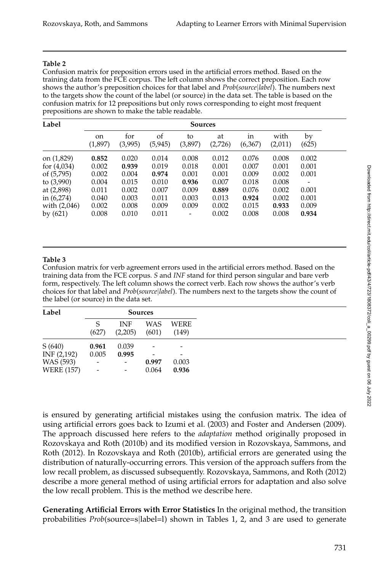Confusion matrix for preposition errors used in the artificial errors method. Based on the training data from the FCE corpus. The left column shows the correct preposition. Each row shows the author's preposition choices for that label and *Prob*(*source*|*label*). The numbers next to the targets show the count of the label (or source) in the data set. The table is based on the confusion matrix for 12 prepositions but only rows corresponding to eight most frequent prepositions are shown to make the table readable.

| Label         |                          |                |                | <b>Sources</b> |               |               |                 |                              |
|---------------|--------------------------|----------------|----------------|----------------|---------------|---------------|-----------------|------------------------------|
|               | <sub>on</sub><br>(1,897) | for<br>(3,995) | of<br>(5, 945) | to<br>(3,897)  | at<br>(2,726) | in<br>(6,367) | with<br>(2,011) | by<br>(625)                  |
| on (1,829)    | 0.852                    | 0.020          | 0.014          | 0.008          | 0.012         | 0.076         | 0.008           | 0.002                        |
| for $(4,034)$ | 0.002                    | 0.939          | 0.019          | 0.018          | 0.001         | 0.007         | 0.001           | 0.001                        |
| of (5,795)    | 0.002                    | 0.004          | 0.974          | 0.001          | 0.001         | 0.009         | 0.002           | 0.001                        |
| to $(3,990)$  | 0.004                    | 0.015          | 0.010          | 0.936          | 0.007         | 0.018         | 0.008           | $\qquad \qquad \blacksquare$ |
| at (2,898)    | 0.011                    | 0.002          | 0.007          | 0.009          | 0.889         | 0.076         | 0.002           | 0.001                        |
| in $(6,274)$  | 0.040                    | 0.003          | 0.011          | 0.003          | 0.013         | 0.924         | 0.002           | 0.001                        |
| with (2,046)  | 0.002                    | 0.008          | 0.009          | 0.009          | 0.002         | 0.015         | 0.933           | 0.009                        |
| by $(621)$    | 0.008                    | 0.010          | 0.011          |                | 0.002         | 0.008         | 0.008           | 0.934                        |
|               |                          |                |                |                |               |               |                 |                              |

#### **Table 3**

Confusion matrix for verb agreement errors used in the artificial errors method. Based on the training data from the FCE corpus. *S* and *INF* stand for third person singular and bare verb form, respectively. The left column shows the correct verb. Each row shows the author's verb choices for that label and *Prob*(*source*|*label*). The numbers next to the targets show the count of the label (or source) in the data set.

| Label             |                          |                          | <b>Sources</b> |                          |
|-------------------|--------------------------|--------------------------|----------------|--------------------------|
|                   | S<br>(627)               | <b>INF</b><br>(2,205)    | WAS<br>(601)   | WERE<br>(149)            |
| S(640)            | 0.961                    | 0.039                    | ۰              | $\overline{\phantom{a}}$ |
| INF (2,192)       | 0.005                    | 0.995                    |                | $\overline{\phantom{a}}$ |
| WAS (593)         | $\overline{\phantom{m}}$ | $\overline{\phantom{a}}$ | 0.997          | 0.003                    |
| <b>WERE</b> (157) |                          | $\overline{\phantom{a}}$ | 0.064          | 0.936                    |

is ensured by generating artificial mistakes using the confusion matrix. The idea of using artificial errors goes back to Izumi et al. (2003) and Foster and Andersen (2009). The approach discussed here refers to the *adaptation* method originally proposed in Rozovskaya and Roth (2010b) and its modified version in Rozovskaya, Sammons, and Roth (2012). In Rozovskaya and Roth (2010b), artificial errors are generated using the distribution of naturally-occurring errors. This version of the approach suffers from the low recall problem, as discussed subsequently. Rozovskaya, Sammons, and Roth (2012) describe a more general method of using artificial errors for adaptation and also solve the low recall problem. This is the method we describe here.

**Generating Artificial Errors with Error Statistics** In the original method, the transition probabilities *Prob*(source=s|label=l) shown in Tables 1, 2, and 3 are used to generate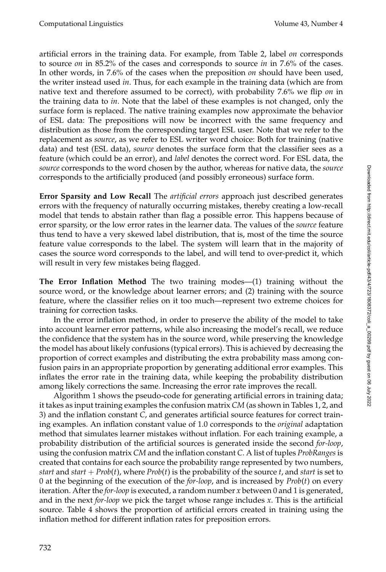artificial errors in the training data. For example, from Table 2, label *on* corresponds to source *on* in 85.2% of the cases and corresponds to source *in* in 7.6% of the cases. In other words, in 7.6% of the cases when the preposition *on* should have been used, the writer instead used *in*. Thus, for each example in the training data (which are from native text and therefore assumed to be correct), with probability 7.6% we flip *on* in the training data to *in*. Note that the label of these examples is not changed, only the surface form is replaced. The native training examples now approximate the behavior of ESL data: The prepositions will now be incorrect with the same frequency and distribution as those from the corresponding target ESL user. Note that we refer to the replacement as *source*, as we refer to ESL writer word choice: Both for training (native data) and test (ESL data), *source* denotes the surface form that the classifier sees as a feature (which could be an error), and *label* denotes the correct word. For ESL data, the *source* corresponds to the word chosen by the author, whereas for native data, the *source* corresponds to the artificially produced (and possibly erroneous) surface form.

**Error Sparsity and Low Recall** The *artificial errors* approach just described generates errors with the frequency of naturally occurring mistakes, thereby creating a low-recall model that tends to abstain rather than flag a possible error. This happens because of error sparsity, or the low error rates in the learner data. The values of the *source* feature thus tend to have a very skewed label distribution, that is, most of the time the source feature value corresponds to the label. The system will learn that in the majority of cases the source word corresponds to the label, and will tend to over-predict it, which will result in very few mistakes being flagged.

**The Error Inflation Method** The two training modes—(1) training without the source word, or the knowledge about learner errors; and (2) training with the source feature, where the classifier relies on it too much—represent two extreme choices for training for correction tasks.

In the error inflation method, in order to preserve the ability of the model to take into account learner error patterns, while also increasing the model's recall, we reduce the confidence that the system has in the source word, while preserving the knowledge the model has about likely confusions (typical errors). This is achieved by decreasing the proportion of correct examples and distributing the extra probability mass among confusion pairs in an appropriate proportion by generating additional error examples. This inflates the error rate in the training data, while keeping the probability distribution among likely corrections the same. Increasing the error rate improves the recall.

Algorithm 1 shows the pseudo-code for generating artificial errors in training data; it takes as input training examples the confusion matrix *CM* (as shown in Tables 1, 2, and 3) and the inflation constant *C*, and generates artificial source features for correct training examples. An inflation constant value of 1.0 corresponds to the *original* adaptation method that simulates learner mistakes without inflation. For each training example, a probability distribution of the artificial sources is generated inside the second *for-loop*, using the confusion matrix *CM* and the inflation constant *C*. A list of tuples *ProbRanges* is created that contains for each source the probability range represented by two numbers, *start* and *start* + *Prob*(*t*), where *Prob*(*t*) is the probability of the source *t*, and *start* is set to 0 at the beginning of the execution of the *for-loop*, and is increased by *Prob*(*t*) on every iteration. After the *for-loop* is executed, a random number *x* between 0 and 1 is generated, and in the next *for-loop* we pick the target whose range includes *x*. This is the artificial source. Table 4 shows the proportion of artificial errors created in training using the inflation method for different inflation rates for preposition errors.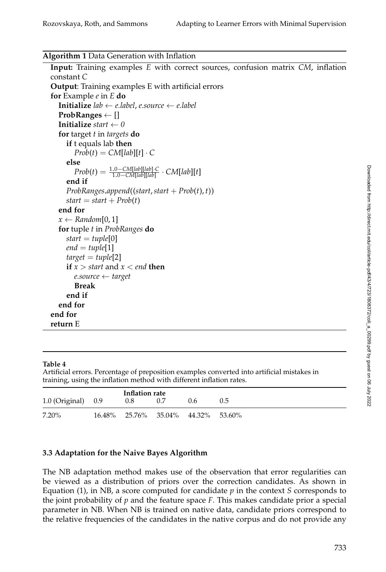```
Input: Training examples E with correct sources, confusion matrix CM, inflation
constant C
Output: Training examples E with artificial errors
for Example e in E do
  Initialize lab ← e.label, e.source ← e.label
  ProbRanges ← []
  Initialize start \leftarrow 0for target t in targets do
     if t equals lab then
       Prob(t) = CM[lab][t] \cdot Celse
        Prob(t) = \frac{1.0 - CM[lab][lab] \cdot C}{1.0 - CM[lab][lab]} \cdot CM[lab][t]end if
     ProbRanges.append((start,start + Prob(t), t))
     start = start + Prob(t)end for
  x \leftarrow Random[0, 1]
  for tuple t in ProbRanges do
     start = tuple[0]end = tuple[1]target = tuple[2]
     if x > start and x < end then
       e.source ← target
       Break
     end if
  end for
end for
return E
```
Artificial errors. Percentage of preposition examples converted into artificial mistakes in training, using the inflation method with different inflation rates.

|                        | Inflation rate                     |     |     |     |
|------------------------|------------------------------------|-----|-----|-----|
| $1.0$ (Original) $0.9$ | 0.8                                | 0.7 | 0.6 | 0.5 |
| 7.20%                  | 16.48% 25.76% 35.04% 44.32% 53.60% |     |     |     |

# **3.3 Adaptation for the Naive Bayes Algorithm**

The NB adaptation method makes use of the observation that error regularities can be viewed as a distribution of priors over the correction candidates. As shown in Equation (1), in NB, a score computed for candidate *p* in the context *S* corresponds to the joint probability of *p* and the feature space *F*. This makes candidate prior a special parameter in NB. When NB is trained on native data, candidate priors correspond to the relative frequencies of the candidates in the native corpus and do not provide any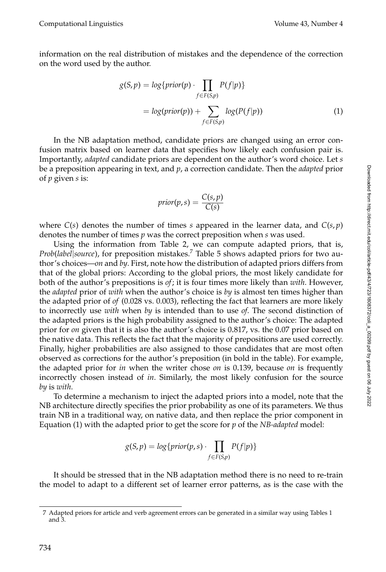information on the real distribution of mistakes and the dependence of the correction on the word used by the author.

$$
g(S,p) = log\{prior(p) \cdot \prod_{f \in F(S,p)} P(f|p)\}
$$
  
= log(prior(p)) +  $\sum_{f \in F(S,p)} log(P(f|p))$  (1)

In the NB adaptation method, candidate priors are changed using an error confusion matrix based on learner data that specifies how likely each confusion pair is. Importantly, *adapted* candidate priors are dependent on the author's word choice. Let *s* be a preposition appearing in text, and *p*, a correction candidate. Then the *adapted* prior of *p* given *s* is:

$$
prior(p, s) = \frac{C(s, p)}{C(s)}
$$

where  $C(s)$  denotes the number of times *s* appeared in the learner data, and  $C(s, p)$ denotes the number of times *p* was the correct preposition when *s* was used.

Using the information from Table 2, we can compute adapted priors, that is, *Prob*(*label*|*source*), for preposition mistakes.<sup>7</sup> Table 5 shows adapted priors for two author's choices—*on* and *by*. First, note how the distribution of adapted priors differs from that of the global priors: According to the global priors, the most likely candidate for both of the author's prepositions is *of*; it is four times more likely than *with*. However, the *adapted* prior of *with* when the author's choice is *by* is almost ten times higher than the adapted prior of *of* (0.028 vs. 0.003), reflecting the fact that learners are more likely to incorrectly use *with* when *by* is intended than to use *of*. The second distinction of the adapted priors is the high probability assigned to the author's choice: The adapted prior for *on* given that it is also the author's choice is 0.817, vs. the 0.07 prior based on the native data. This reflects the fact that the majority of prepositions are used correctly. Finally, higher probabilities are also assigned to those candidates that are most often observed as corrections for the author's preposition (in bold in the table). For example, the adapted prior for *in* when the writer chose *on* is 0.139, because *on* is frequently incorrectly chosen instead of *in*. Similarly, the most likely confusion for the source *by* is *with*.

To determine a mechanism to inject the adapted priors into a model, note that the NB architecture directly specifies the prior probability as one of its parameters. We thus train NB in a traditional way, on native data, and then replace the prior component in Equation (1) with the adapted prior to get the score for *p* of the *NB-adapted* model:

$$
g(S, p) = log\{prior(p, s) \cdot \prod_{f \in F(S, p)} P(f|p)\}\
$$

It should be stressed that in the NB adaptation method there is no need to re-train the model to adapt to a different set of learner error patterns, as is the case with the

<sup>7</sup> Adapted priors for article and verb agreement errors can be generated in a similar way using Tables 1 and 3.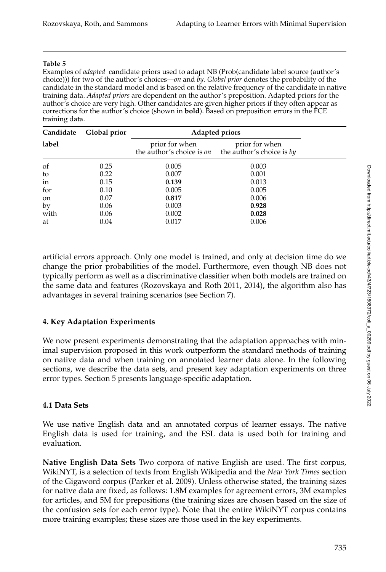Examples of *adapted* candidate priors used to adapt NB (Prob(candidate label|source (author's choice))) for two of the author's choices—*on* and *by*. *Global prior* denotes the probability of the candidate in the standard model and is based on the relative frequency of the candidate in native training data. *Adapted priors* are dependent on the author's preposition. Adapted priors for the author's choice are very high. Other candidates are given higher priors if they often appear as corrections for the author's choice (shown in **bold**). Based on preposition errors in the FCE training data.

| Candidate | Global prior |                                             | <b>Adapted priors</b>                       |  |
|-----------|--------------|---------------------------------------------|---------------------------------------------|--|
| label     |              | prior for when<br>the author's choice is on | prior for when<br>the author's choice is by |  |
| of        | 0.25         | 0.005                                       | 0.003                                       |  |
| to        | 0.22         | 0.007                                       | 0.001                                       |  |
| in        | 0.15         | 0.139                                       | 0.013                                       |  |
| for       | 0.10         | 0.005                                       | 0.005                                       |  |
| on        | 0.07         | 0.817                                       | 0.006                                       |  |
| by        | 0.06         | 0.003                                       | 0.928                                       |  |
| with      | 0.06         | 0.002                                       | 0.028                                       |  |
| at        | 0.04         | 0.017                                       | 0.006                                       |  |

artificial errors approach. Only one model is trained, and only at decision time do we change the prior probabilities of the model. Furthermore, even though NB does not typically perform as well as a discriminative classifier when both models are trained on the same data and features (Rozovskaya and Roth 2011, 2014), the algorithm also has advantages in several training scenarios (see Section 7).

# **4. Key Adaptation Experiments**

We now present experiments demonstrating that the adaptation approaches with minimal supervision proposed in this work outperform the standard methods of training on native data and when training on annotated learner data alone. In the following sections, we describe the data sets, and present key adaptation experiments on three error types. Section 5 presents language-specific adaptation.

# **4.1 Data Sets**

We use native English data and an annotated corpus of learner essays. The native English data is used for training, and the ESL data is used both for training and evaluation.

**Native English Data Sets** Two corpora of native English are used. The first corpus, WikiNYT, is a selection of texts from English Wikipedia and the *New York Times* section of the Gigaword corpus (Parker et al. 2009). Unless otherwise stated, the training sizes for native data are fixed, as follows: 1.8M examples for agreement errors, 3M examples for articles, and 5M for prepositions (the training sizes are chosen based on the size of the confusion sets for each error type). Note that the entire WikiNYT corpus contains more training examples; these sizes are those used in the key experiments.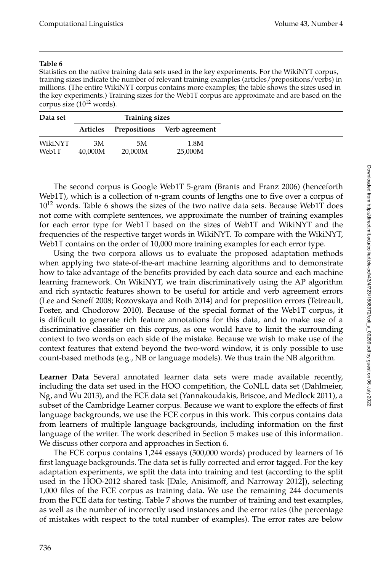Statistics on the native training data sets used in the key experiments. For the WikiNYT corpus, training sizes indicate the number of relevant training examples (articles/prepositions/verbs) in millions. (The entire WikiNYT corpus contains more examples; the table shows the sizes used in the key experiments.) Training sizes for the Web1T corpus are approximate and are based on the corpus size  $(10^{12}$  words).

| Data set         | <b>Training sizes</b> |               |                             |
|------------------|-----------------------|---------------|-----------------------------|
|                  | <b>Articles</b>       |               | Prepositions Verb agreement |
| WikiNYT<br>Web1T | 3M<br>40.000M         | 5M<br>20,000M | 1.8M<br>25,000M             |

The second corpus is Google Web1T 5-gram (Brants and Franz 2006) (henceforth Web1T), which is a collection of *n*-gram counts of lengths one to five over a corpus of  $10^{12}$  words. Table 6 shows the sizes of the two native data sets. Because Web1T does not come with complete sentences, we approximate the number of training examples for each error type for Web1T based on the sizes of Web1T and WikiNYT and the frequencies of the respective target words in WikiNYT. To compare with the WikiNYT, Web1T contains on the order of 10,000 more training examples for each error type.

Using the two corpora allows us to evaluate the proposed adaptation methods when applying two state-of-the-art machine learning algorithms and to demonstrate how to take advantage of the benefits provided by each data source and each machine learning framework. On WikiNYT, we train discriminatively using the AP algorithm and rich syntactic features shown to be useful for article and verb agreement errors (Lee and Seneff 2008; Rozovskaya and Roth 2014) and for preposition errors (Tetreault, Foster, and Chodorow 2010). Because of the special format of the Web1T corpus, it is difficult to generate rich feature annotations for this data, and to make use of a discriminative classifier on this corpus, as one would have to limit the surrounding context to two words on each side of the mistake. Because we wish to make use of the context features that extend beyond the two-word window, it is only possible to use count-based methods (e.g., NB or language models). We thus train the NB algorithm.

**Learner Data** Several annotated learner data sets were made available recently, including the data set used in the HOO competition, the CoNLL data set (Dahlmeier, Ng, and Wu 2013), and the FCE data set (Yannakoudakis, Briscoe, and Medlock 2011), a subset of the Cambridge Learner corpus. Because we want to explore the effects of first language backgrounds, we use the FCE corpus in this work. This corpus contains data from learners of multiple language backgrounds, including information on the first language of the writer. The work described in Section 5 makes use of this information. We discuss other corpora and approaches in Section 6.

The FCE corpus contains 1,244 essays (500,000 words) produced by learners of 16 first language backgrounds. The data set is fully corrected and error tagged. For the key adaptation experiments, we split the data into training and test (according to the split used in the HOO-2012 shared task [Dale, Anisimoff, and Narroway 2012]), selecting 1,000 files of the FCE corpus as training data. We use the remaining 244 documents from the FCE data for testing. Table 7 shows the number of training and test examples, as well as the number of incorrectly used instances and the error rates (the percentage of mistakes with respect to the total number of examples). The error rates are below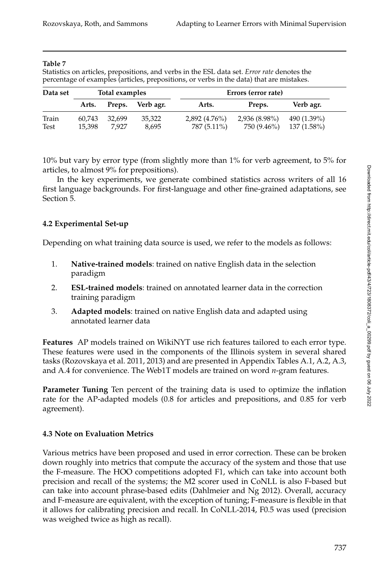Statistics on articles, prepositions, and verbs in the ESL data set. *Error rate* denotes the percentage of examples (articles, prepositions, or verbs in the data) that are mistakes.

| Data set      |                  | Total examples  |                  | Errors (error rate)            |                              |                            |  |
|---------------|------------------|-----------------|------------------|--------------------------------|------------------------------|----------------------------|--|
|               | Arts.            |                 | Preps. Verb agr. | Arts.                          | Preps.                       | Verb agr.                  |  |
| Train<br>Test | 60.743<br>15.398 | 32.699<br>7.927 | 35,322<br>8.695  | $2,892(4.76\%)$<br>787 (5.11%) | 2,936 (8.98%)<br>750 (9.46%) | 490 (1.39%)<br>137 (1.58%) |  |

10% but vary by error type (from slightly more than 1% for verb agreement, to 5% for articles, to almost 9% for prepositions).

In the key experiments, we generate combined statistics across writers of all 16 first language backgrounds. For first-language and other fine-grained adaptations, see Section 5.

# **4.2 Experimental Set-up**

Depending on what training data source is used, we refer to the models as follows:

- 1. **Native-trained models**: trained on native English data in the selection paradigm
- 2. **ESL-trained models**: trained on annotated learner data in the correction training paradigm
- 3. **Adapted models**: trained on native English data and adapted using annotated learner data

**Features** AP models trained on WikiNYT use rich features tailored to each error type. These features were used in the components of the Illinois system in several shared tasks (Rozovskaya et al. 2011, 2013) and are presented in Appendix Tables A.1, A.2, A.3, and A.4 for convenience. The Web1T models are trained on word *n*-gram features.

**Parameter Tuning** Ten percent of the training data is used to optimize the inflation rate for the AP-adapted models (0.8 for articles and prepositions, and 0.85 for verb agreement).

# **4.3 Note on Evaluation Metrics**

Various metrics have been proposed and used in error correction. These can be broken down roughly into metrics that compute the accuracy of the system and those that use the F-measure. The HOO competitions adopted F1, which can take into account both precision and recall of the systems; the M2 scorer used in CoNLL is also F-based but can take into account phrase-based edits (Dahlmeier and Ng 2012). Overall, accuracy and F-measure are equivalent, with the exception of tuning; F-measure is flexible in that it allows for calibrating precision and recall. In CoNLL-2014, F0.5 was used (precision was weighed twice as high as recall).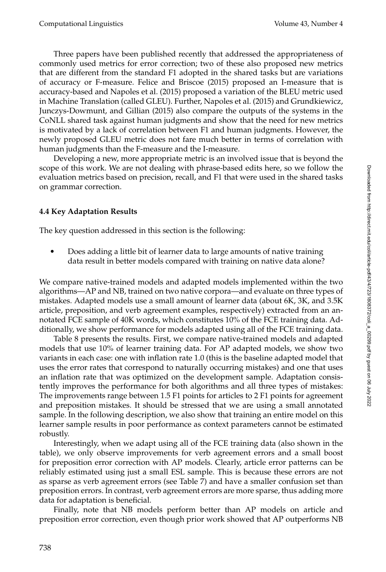Three papers have been published recently that addressed the appropriateness of commonly used metrics for error correction; two of these also proposed new metrics that are different from the standard F1 adopted in the shared tasks but are variations of accuracy or F-measure. Felice and Briscoe (2015) proposed an I-measure that is accuracy-based and Napoles et al. (2015) proposed a variation of the BLEU metric used in Machine Translation (called GLEU). Further, Napoles et al. (2015) and Grundkiewicz, Junczys-Dowmunt, and Gillian (2015) also compare the outputs of the systems in the CoNLL shared task against human judgments and show that the need for new metrics is motivated by a lack of correlation between F1 and human judgments. However, the newly proposed GLEU metric does not fare much better in terms of correlation with human judgments than the F-measure and the I-measure.

Developing a new, more appropriate metric is an involved issue that is beyond the scope of this work. We are not dealing with phrase-based edits here, so we follow the evaluation metrics based on precision, recall, and F1 that were used in the shared tasks on grammar correction.

# **4.4 Key Adaptation Results**

The key question addressed in this section is the following:

Does adding a little bit of learner data to large amounts of native training data result in better models compared with training on native data alone?

We compare native-trained models and adapted models implemented within the two algorithms—AP and NB, trained on two native corpora—and evaluate on three types of mistakes. Adapted models use a small amount of learner data (about 6K, 3K, and 3.5K article, preposition, and verb agreement examples, respectively) extracted from an annotated FCE sample of 40K words, which constitutes 10% of the FCE training data. Additionally, we show performance for models adapted using all of the FCE training data.

Table 8 presents the results. First, we compare native-trained models and adapted models that use 10% of learner training data. For AP adapted models, we show two variants in each case: one with inflation rate 1.0 (this is the baseline adapted model that uses the error rates that correspond to naturally occurring mistakes) and one that uses an inflation rate that was optimized on the development sample. Adaptation consistently improves the performance for both algorithms and all three types of mistakes: The improvements range between 1.5 F1 points for articles to 2 F1 points for agreement and preposition mistakes. It should be stressed that we are using a small annotated sample. In the following description, we also show that training an entire model on this learner sample results in poor performance as context parameters cannot be estimated robustly.

Interestingly, when we adapt using all of the FCE training data (also shown in the table), we only observe improvements for verb agreement errors and a small boost for preposition error correction with AP models. Clearly, article error patterns can be reliably estimated using just a small ESL sample. This is because these errors are not as sparse as verb agreement errors (see Table 7) and have a smaller confusion set than preposition errors. In contrast, verb agreement errors are more sparse, thus adding more data for adaptation is beneficial.

Finally, note that NB models perform better than AP models on article and preposition error correction, even though prior work showed that AP outperforms NB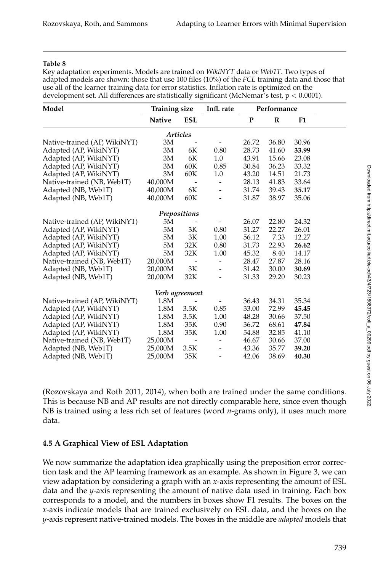Key adaptation experiments. Models are trained on *WikiNYT* data or *Web1T*. Two types of adapted models are shown: those that use 100 files (10%) of the *FCE* training data and those that use all of the learner training data for error statistics. Inflation rate is optimized on the development set. All differences are statistically significant (McNemar's test, p < 0.0001).

| Model                        | <b>Training size</b> |                 | Infl. rate                   |       | Performance |                |  |
|------------------------------|----------------------|-----------------|------------------------------|-------|-------------|----------------|--|
|                              | <b>Native</b>        | <b>ESL</b>      |                              | P     | R           | F <sub>1</sub> |  |
|                              |                      | <b>Articles</b> |                              |       |             |                |  |
| Native-trained (AP, WikiNYT) | 3M                   |                 |                              | 26.72 | 36.80       | 30.96          |  |
| Adapted (AP, WikiNYT)        | 3M                   | 6K              | 0.80                         | 28.73 | 41.60       | 33.99          |  |
| Adapted (AP, WikiNYT)        | 3M                   | 6K              | $1.0\,$                      | 43.91 | 15.66       | 23.08          |  |
| Adapted (AP, WikiNYT)        | 3M                   | 60K             | 0.85                         | 30.84 | 36.23       | 33.32          |  |
| Adapted (AP, WikiNYT)        | 3M                   | 60K             | 1.0                          | 43.20 | 14.51       | 21.73          |  |
| Native-trained (NB, Web1T)   | 40,000M              |                 |                              | 28.13 | 41.83       | 33.64          |  |
| Adapted (NB, Web1T)          | 40,000M              | 6K              | $\qquad \qquad \blacksquare$ | 31.74 | 39.43       | 35.17          |  |
| Adapted (NB, Web1T)          | 40,000M              | 60K             |                              | 31.87 | 38.97       | 35.06          |  |
|                              |                      | Prepositions    |                              |       |             |                |  |
| Native-trained (AP, WikiNYT) | 5M                   |                 |                              | 26.07 | 22.80       | 24.32          |  |
| Adapted (AP, WikiNYT)        | 5M                   | 3K              | 0.80                         | 31.27 | 22.27       | 26.01          |  |
| Adapted (AP, WikiNYT)        | 5M                   | 3K              | 1.00                         | 56.12 | 7.33        | 12.27          |  |
| Adapted (AP, WikiNYT)        | 5M                   | 32K             | 0.80                         | 31.73 | 22.93       | 26.62          |  |
| Adapted (AP, WikiNYT)        | 5M                   | 32K             | 1.00                         | 45.32 | 8.40        | 14.17          |  |
| Native-trained (NB, Web1T)   | 20,000M              | -               |                              | 28.47 | 27.87       | 28.16          |  |
| Adapted (NB, Web1T)          | 20,000M              | 3K              |                              | 31.42 | 30.00       | 30.69          |  |
| Adapted (NB, Web1T)          | 20,000M              | 32K             |                              | 31.33 | 29.20       | 30.23          |  |
|                              | Verb agreement       |                 |                              |       |             |                |  |
| Native-trained (AP, WikiNYT) | 1.8M                 |                 |                              | 36.43 | 34.31       | 35.34          |  |
| Adapted (AP, WikiNYT)        | 1.8M                 | 3.5K            | 0.85                         | 33.00 | 72.99       | 45.45          |  |
| Adapted (AP, WikiNYT)        | 1.8M                 | 3.5K            | 1.00                         | 48.28 | 30.66       | 37.50          |  |
| Adapted (AP, WikiNYT)        | 1.8M                 | 35K             | 0.90                         | 36.72 | 68.61       | 47.84          |  |
| Adapted (AP, WikiNYT)        | 1.8M                 | 35K             | 1.00                         | 54.88 | 32.85       | 41.10          |  |
| Native-trained (NB, Web1T)   | 25,000M              |                 |                              | 46.67 | 30.66       | 37.00          |  |
| Adapted (NB, Web1T)          | 25,000M              | 3.5K            | -                            | 43.36 | 35.77       | 39.20          |  |
| Adapted (NB, Web1T)          | 25,000M              | 35K             |                              | 42.06 | 38.69       | 40.30          |  |

(Rozovskaya and Roth 2011, 2014), when both are trained under the same conditions. This is because NB and AP results are not directly comparable here, since even though NB is trained using a less rich set of features (word *n*-grams only), it uses much more data.

# **4.5 A Graphical View of ESL Adaptation**

We now summarize the adaptation idea graphically using the preposition error correction task and the AP learning framework as an example. As shown in Figure 3, we can view adaptation by considering a graph with an *x*-axis representing the amount of ESL data and the *y*-axis representing the amount of native data used in training. Each box corresponds to a model, and the numbers in boxes show F1 results. The boxes on the *x*-axis indicate models that are trained exclusively on ESL data, and the boxes on the *y*-axis represent native-trained models. The boxes in the middle are *adapted* models that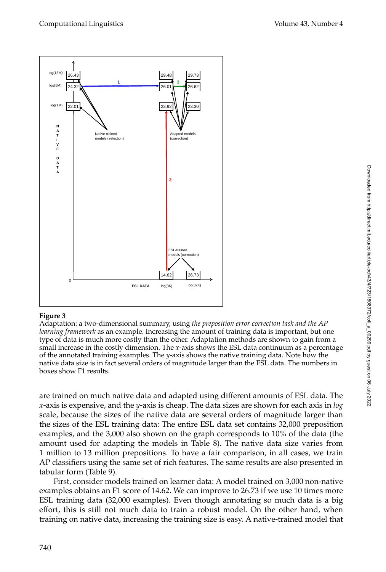

# **Figure 3**

Adaptation: a two-dimensional summary, using *the preposition error correction task and the AP learning framework* as an example. Increasing the amount of training data is important, but one type of data is much more costly than the other. Adaptation methods are shown to gain from a small increase in the costly dimension. The *x*-axis shows the ESL data continuum as a percentage of the annotated training examples. The *y*-axis shows the native training data. Note how the native data size is in fact several orders of magnitude larger than the ESL data. The numbers in boxes show F1 results.

are trained on much native data and adapted using different amounts of ESL data. The *x*-axis is expensive, and the *y*-axis is cheap. The data sizes are shown for each axis in *log* scale, because the sizes of the native data are several orders of magnitude larger than the sizes of the ESL training data: The entire ESL data set contains 32,000 preposition examples, and the 3,000 also shown on the graph corresponds to 10% of the data (the amount used for adapting the models in Table 8). The native data size varies from 1 million to 13 million prepositions. To have a fair comparison, in all cases, we train AP classifiers using the same set of rich features. The same results are also presented in tabular form (Table 9).

First, consider models trained on learner data: A model trained on 3,000 non-native examples obtains an F1 score of 14.62. We can improve to 26.73 if we use 10 times more ESL training data (32,000 examples). Even though annotating so much data is a big effort, this is still not much data to train a robust model. On the other hand, when training on native data, increasing the training size is easy. A native-trained model that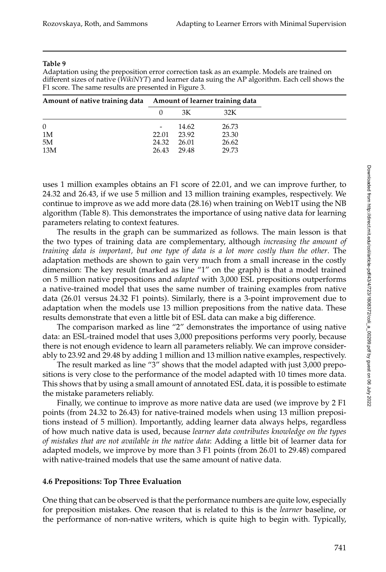Adaptation using the preposition error correction task as an example. Models are trained on different sizes of native (*WikiNYT*) and learner data suing the AP algorithm. Each cell shows the F1 score. The same results are presented in Figure 3.

|          | Amount of native training data Amount of learner training data |             |       |
|----------|----------------------------------------------------------------|-------------|-------|
|          |                                                                | ЗК          | 32K   |
| $\theta$ | -                                                              | 14.62       | 26.73 |
| 1M       | 22.01                                                          | 23.92       | 23.30 |
| 5M       |                                                                | 24.32 26.01 | 26.62 |
| 13M      | 26.43                                                          | 29.48       | 29.73 |

uses 1 million examples obtains an F1 score of 22.01, and we can improve further, to 24.32 and 26.43, if we use 5 million and 13 million training examples, respectively. We continue to improve as we add more data (28.16) when training on Web1T using the NB algorithm (Table 8). This demonstrates the importance of using native data for learning parameters relating to context features.

The results in the graph can be summarized as follows. The main lesson is that the two types of training data are complementary, although *increasing the amount of training data is important, but one type of data is a lot more costly than the other*. The adaptation methods are shown to gain very much from a small increase in the costly dimension: The key result (marked as line "1" on the graph) is that a model trained on 5 million native prepositions and *adapted* with 3,000 ESL prepositions outperforms a native-trained model that uses the same number of training examples from native data (26.01 versus 24.32 F1 points). Similarly, there is a 3-point improvement due to adaptation when the models use 13 million prepositions from the native data. These results demonstrate that even a little bit of ESL data can make a big difference.

The comparison marked as line "2" demonstrates the importance of using native data: an ESL-trained model that uses 3,000 prepositions performs very poorly, because there is not enough evidence to learn all parameters reliably. We can improve considerably to 23.92 and 29.48 by adding 1 million and 13 million native examples, respectively.

The result marked as line "3" shows that the model adapted with just 3,000 prepositions is very close to the performance of the model adapted with 10 times more data. This shows that by using a small amount of annotated ESL data, it is possible to estimate the mistake parameters reliably.

Finally, we continue to improve as more native data are used (we improve by 2 F1 points (from 24.32 to 26.43) for native-trained models when using 13 million prepositions instead of 5 million). Importantly, adding learner data always helps, regardless of how much native data is used, because *learner data contributes knowledge on the types of mistakes that are not available in the native data*: Adding a little bit of learner data for adapted models, we improve by more than 3 F1 points (from 26.01 to 29.48) compared with native-trained models that use the same amount of native data.

#### **4.6 Prepositions: Top Three Evaluation**

One thing that can be observed is that the performance numbers are quite low, especially for preposition mistakes. One reason that is related to this is the *learner* baseline, or the performance of non-native writers, which is quite high to begin with. Typically,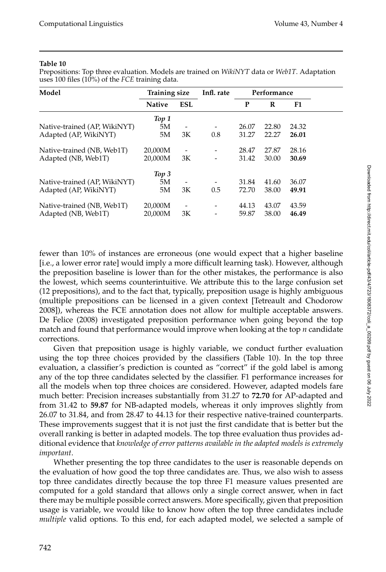Prepositions: Top three evaluation. Models are trained on *WikiNYT* data or *Web1T*. Adaptation uses 100 files (10%) of the *FCE* training data.

| Model                        | <b>Training size</b> |                          | Infl. rate               | Performance |          |       |  |
|------------------------------|----------------------|--------------------------|--------------------------|-------------|----------|-------|--|
|                              | <b>Native</b>        | <b>ESL</b>               |                          | P           | $\bf{R}$ | F1    |  |
|                              | Top 1                |                          |                          |             |          |       |  |
| Native-trained (AP, WikiNYT) | 5M                   | $\overline{\phantom{0}}$ | $\overline{\phantom{a}}$ | 26.07       | 22.80    | 24.32 |  |
| Adapted (AP, WikiNYT)        | 5M                   | 3K                       | 0.8                      | 31.27       | 22.27    | 26.01 |  |
| Native-trained (NB, Web1T)   | 20,000M              |                          |                          | 28.47       | 27.87    | 28.16 |  |
| Adapted (NB, Web1T)          | 20,000M              | 3K                       | $\overline{a}$           | 31.42       | 30.00    | 30.69 |  |
|                              | Top 3                |                          |                          |             |          |       |  |
| Native-trained (AP, WikiNYT) | 5M                   |                          | -                        | 31.84       | 41.60    | 36.07 |  |
| Adapted (AP, WikiNYT)        | 5M                   | 3K                       | 0.5                      | 72.70       | 38.00    | 49.91 |  |
| Native-trained (NB, Web1T)   | 20,000M              |                          | -                        | 44.13       | 43.07    | 43.59 |  |
| Adapted (NB, Web1T)          | 20,000M              | 3K                       |                          | 59.87       | 38.00    | 46.49 |  |

fewer than 10% of instances are erroneous (one would expect that a higher baseline [i.e., a lower error rate] would imply a more difficult learning task). However, although the preposition baseline is lower than for the other mistakes, the performance is also the lowest, which seems counterintuitive. We attribute this to the large confusion set (12 prepositions), and to the fact that, typically, preposition usage is highly ambiguous (multiple prepositions can be licensed in a given context [Tetreault and Chodorow 2008]), whereas the FCE annotation does not allow for multiple acceptable answers. De Felice (2008) investigated preposition performance when going beyond the top match and found that performance would improve when looking at the top *n* candidate corrections.

Given that preposition usage is highly variable, we conduct further evaluation using the top three choices provided by the classifiers (Table 10). In the top three evaluation, a classifier's prediction is counted as "correct" if the gold label is among any of the top three candidates selected by the classifier. F1 performance increases for all the models when top three choices are considered. However, adapted models fare much better: Precision increases substantially from 31.27 to **72.70** for AP-adapted and from 31.42 to **59.87** for NB-adapted models, whereas it only improves slightly from 26.07 to 31.84, and from 28.47 to 44.13 for their respective native-trained counterparts. These improvements suggest that it is not just the first candidate that is better but the overall ranking is better in adapted models. The top three evaluation thus provides additional evidence that *knowledge of error patterns available in the adapted models is extremely important*.

Whether presenting the top three candidates to the user is reasonable depends on the evaluation of how good the top three candidates are. Thus, we also wish to assess top three candidates directly because the top three F1 measure values presented are computed for a gold standard that allows only a single correct answer, when in fact there may be multiple possible correct answers. More specifically, given that preposition usage is variable, we would like to know how often the top three candidates include *multiple* valid options. To this end, for each adapted model, we selected a sample of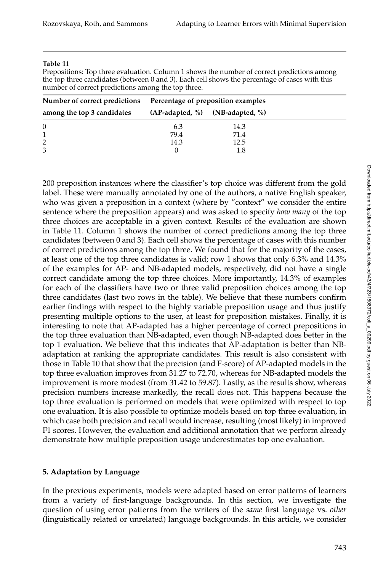Prepositions: Top three evaluation. Column 1 shows the number of correct predictions among the top three candidates (between 0 and 3). Each cell shows the percentage of cases with this number of correct predictions among the top three.

| Number of correct predictions | Percentage of preposition examples |                                         |  |  |  |
|-------------------------------|------------------------------------|-----------------------------------------|--|--|--|
| among the top 3 candidates    |                                    | $(AP\text{-}adapted, %$ (NB-adapted, %) |  |  |  |
| $\Omega$                      | 6.3                                | 14.3                                    |  |  |  |
|                               | 79.4                               | 71.4                                    |  |  |  |
| 2                             | 14.3                               | 12.5                                    |  |  |  |
| 3                             |                                    |                                         |  |  |  |

200 preposition instances where the classifier's top choice was different from the gold label. These were manually annotated by one of the authors, a native English speaker, who was given a preposition in a context (where by "context" we consider the entire sentence where the preposition appears) and was asked to specify *how many* of the top three choices are acceptable in a given context. Results of the evaluation are shown in Table 11. Column 1 shows the number of correct predictions among the top three candidates (between 0 and 3). Each cell shows the percentage of cases with this number of correct predictions among the top three. We found that for the majority of the cases, at least one of the top three candidates is valid; row 1 shows that only 6.3% and 14.3% of the examples for AP- and NB-adapted models, respectively, did not have a single correct candidate among the top three choices. More importantly, 14.3% of examples for each of the classifiers have two or three valid preposition choices among the top three candidates (last two rows in the table). We believe that these numbers confirm earlier findings with respect to the highly variable preposition usage and thus justify presenting multiple options to the user, at least for preposition mistakes. Finally, it is interesting to note that AP-adapted has a higher percentage of correct prepositions in the top three evaluation than NB-adapted, even though NB-adapted does better in the top 1 evaluation. We believe that this indicates that AP-adaptation is better than NBadaptation at ranking the appropriate candidates. This result is also consistent with those in Table 10 that show that the precision (and F-score) of AP-adapted models in the top three evaluation improves from 31.27 to 72.70, whereas for NB-adapted models the improvement is more modest (from 31.42 to 59.87). Lastly, as the results show, whereas precision numbers increase markedly, the recall does not. This happens because the top three evaluation is performed on models that were optimized with respect to top one evaluation. It is also possible to optimize models based on top three evaluation, in which case both precision and recall would increase, resulting (most likely) in improved F1 scores. However, the evaluation and additional annotation that we perform already demonstrate how multiple preposition usage underestimates top one evaluation.

# **5. Adaptation by Language**

In the previous experiments, models were adapted based on error patterns of learners from a variety of first-language backgrounds. In this section, we investigate the question of using error patterns from the writers of the *same* first language vs. *other* (linguistically related or unrelated) language backgrounds. In this article, we consider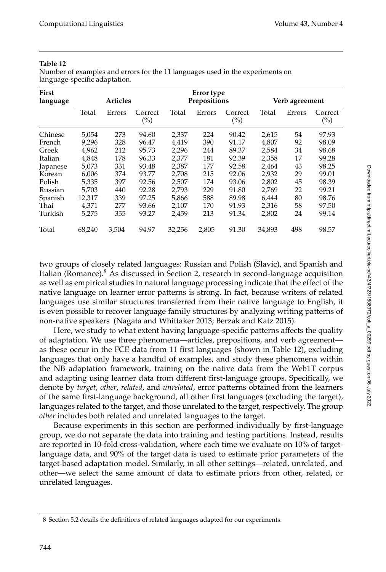| ٠<br>г<br>٠<br>٠<br>٧ |  |
|-----------------------|--|
|-----------------------|--|

Number of examples and errors for the 11 languages used in the experiments on language-specific adaptation.

| First    |                 |        |                |        | Error type   |                |        |                |                |  |
|----------|-----------------|--------|----------------|--------|--------------|----------------|--------|----------------|----------------|--|
| language | <b>Articles</b> |        |                |        | Prepositions |                |        | Verb agreement |                |  |
|          | Total           | Errors | Correct<br>(%) | Total  | Errors       | Correct<br>(%) | Total  | Errors         | Correct<br>(%) |  |
| Chinese  | 5,054           | 273    | 94.60          | 2,337  | 224          | 90.42          | 2,615  | 54             | 97.93          |  |
| French   | 9,296           | 328    | 96.47          | 4,419  | 390          | 91.17          | 4,807  | 92             | 98.09          |  |
| Greek    | 4,962           | 212    | 95.73          | 2,296  | 244          | 89.37          | 2,584  | 34             | 98.68          |  |
| Italian  | 4,848           | 178    | 96.33          | 2,377  | 181          | 92.39          | 2,358  | 17             | 99.28          |  |
| Japanese | 5,073           | 331    | 93.48          | 2,387  | 177          | 92.58          | 2,464  | 43             | 98.25          |  |
| Korean   | 6.006           | 374    | 93.77          | 2.708  | 215          | 92.06          | 2,932  | 29             | 99.01          |  |
| Polish   | 5,335           | 397    | 92.56          | 2,507  | 174          | 93.06          | 2,802  | 45             | 98.39          |  |
| Russian  | 5,703           | 440    | 92.28          | 2,793  | 229          | 91.80          | 2,769  | 22             | 99.21          |  |
| Spanish  | 12,317          | 339    | 97.25          | 5,866  | 588          | 89.98          | 6,444  | 80             | 98.76          |  |
| Thai     | 4,371           | 277    | 93.66          | 2,107  | 170          | 91.93          | 2,316  | 58             | 97.50          |  |
| Turkish  | 5,275           | 355    | 93.27          | 2,459  | 213          | 91.34          | 2,802  | 24             | 99.14          |  |
| Total    | 68,240          | 3,504  | 94.97          | 32,256 | 2,805        | 91.30          | 34,893 | 498            | 98.57          |  |

two groups of closely related languages: Russian and Polish (Slavic), and Spanish and Italian (Romance). <sup>8</sup> As discussed in Section 2, research in second-language acquisition as well as empirical studies in natural language processing indicate that the effect of the native language on learner error patterns is strong. In fact, because writers of related languages use similar structures transferred from their native language to English, it is even possible to recover language family structures by analyzing writing patterns of non-native speakers (Nagata and Whittaker 2013; Berzak and Katz 2015).

Here, we study to what extent having language-specific patterns affects the quality of adaptation. We use three phenomena—articles, prepositions, and verb agreement as these occur in the FCE data from 11 first languages (shown in Table 12), excluding languages that only have a handful of examples, and study these phenomena within the NB adaptation framework, training on the native data from the Web1T corpus and adapting using learner data from different first-language groups. Specifically, we denote by *target*, *other*, *related*, and *unrelated*, error patterns obtained from the learners of the same first-language background, all other first languages (excluding the target), languages related to the target, and those unrelated to the target, respectively. The group *other* includes both related and unrelated languages to the target.

Because experiments in this section are performed individually by first-language group, we do not separate the data into training and testing partitions. Instead, results are reported in 10-fold cross-validation, where each time we evaluate on 10% of targetlanguage data, and 90% of the target data is used to estimate prior parameters of the target-based adaptation model. Similarly, in all other settings—related, unrelated, and other—we select the same amount of data to estimate priors from other, related, or unrelated languages.

<sup>8</sup> Section 5.2 details the definitions of related languages adapted for our experiments.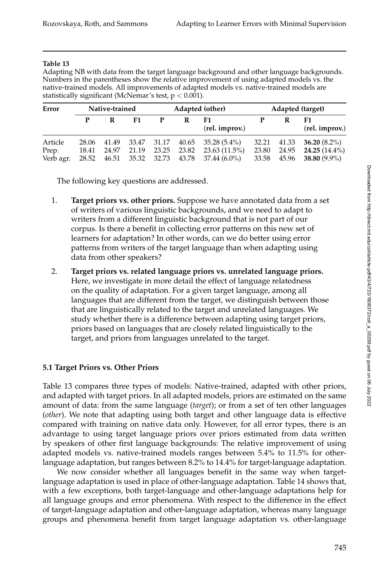Adapting NB with data from the target language background and other language backgrounds. Numbers in the parentheses show the relative improvement of using adapted models vs. the native-trained models. All improvements of adapted models vs. native-trained models are statistically significant (McNemar's test,  $p < 0.001$ ).

| Error<br>Native-trained |                |       | Adapted (other)            |       |                | Adapted (target)                     |                |                |                                            |
|-------------------------|----------------|-------|----------------------------|-------|----------------|--------------------------------------|----------------|----------------|--------------------------------------------|
|                         |                |       | F1.                        |       | R              | F1<br>$(\text{rel.} \text{improv.})$ |                | R              | F1.<br>$(\text{rel.} \text{improv.})$      |
| Article                 | 28.06          |       |                            |       |                | 41.49 33.47 31.17 40.65 35.28 (5.4%) | 32.21          |                | $41.33$ $36.20(8.2\%)$                     |
| Prep.<br>Verb agr.      | 18.41<br>28.52 | 24.97 | 21.19<br>46.51 35.32 32.73 | 23.25 | 23.82<br>43.78 | 23.63(11.5%)<br>37.44 (6.0%)         | 23.80<br>33.58 | 24.95<br>45.96 | <b>24.25</b> $(14.4\%)$<br>38.80 $(9.9\%)$ |

The following key questions are addressed.

- 1. **Target priors vs. other priors.** Suppose we have annotated data from a set of writers of various linguistic backgrounds, and we need to adapt to writers from a different linguistic background that is not part of our corpus. Is there a benefit in collecting error patterns on this new set of learners for adaptation? In other words, can we do better using error patterns from writers of the target language than when adapting using data from other speakers?
- 2. **Target priors vs. related language priors vs. unrelated language priors.** Here, we investigate in more detail the effect of language relatedness on the quality of adaptation. For a given target language, among all languages that are different from the target, we distinguish between those that are linguistically related to the target and unrelated languages. We study whether there is a difference between adapting using target priors, priors based on languages that are closely related linguistically to the target, and priors from languages unrelated to the target.

# **5.1 Target Priors vs. Other Priors**

Table 13 compares three types of models: Native-trained, adapted with other priors, and adapted with target priors. In all adapted models, priors are estimated on the same amount of data: from the same language (*target*); or from a set of ten other languages (*other*). We note that adapting using both target and other language data is effective compared with training on native data only. However, for all error types, there is an advantage to using target language priors over priors estimated from data written by speakers of other first language backgrounds: The relative improvement of using adapted models vs. native-trained models ranges between 5.4% to 11.5% for otherlanguage adaptation, but ranges between 8.2% to 14.4% for target-language adaptation.

We now consider whether all languages benefit in the same way when targetlanguage adaptation is used in place of other-language adaptation. Table 14 shows that, with a few exceptions, both target-language and other-language adaptations help for all language groups and error phenomena. With respect to the difference in the effect of target-language adaptation and other-language adaptation, whereas many language groups and phenomena benefit from target language adaptation vs. other-language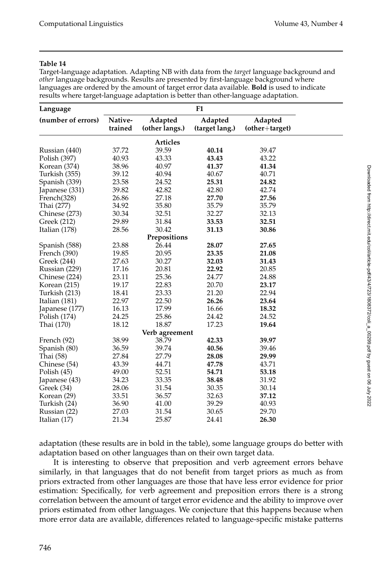Target-language adaptation. Adapting NB with data from the *target* language background and *other* language backgrounds. Results are presented by first-language background where languages are ordered by the amount of target error data available. **Bold** is used to indicate results where target-language adaptation is better than other-language adaptation.

| Language           | F1                 |                           |                           |                           |  |  |
|--------------------|--------------------|---------------------------|---------------------------|---------------------------|--|--|
| (number of errors) | Native-<br>trained | Adapted<br>(other langs.) | Adapted<br>(target lang.) | Adapted<br>(other+target) |  |  |
|                    |                    | <b>Articles</b>           |                           |                           |  |  |
| Russian (440)      | 37.72              | 39.59                     | 40.14                     | 39.47                     |  |  |
| Polish (397)       | 40.93              | 43.33                     | 43.43                     | 43.22                     |  |  |
| Korean (374)       | 38.96              | 40.97                     | 41.37                     | 41.34                     |  |  |
| Turkish (355)      | 39.12              | 40.94                     | 40.67                     | 40.71                     |  |  |
| Spanish (339)      | 23.58              | 24.52                     | 25.31                     | 24.82                     |  |  |
| Japanese (331)     | 39.82              | 42.82                     | 42.80                     | 42.74                     |  |  |
| French(328)        | 26.86              | 27.18                     | 27.70                     | 27.56                     |  |  |
| Thai (277)         | 34.92              | 35.80                     | 35.79                     | 35.79                     |  |  |
| Chinese (273)      | 30.34              | 32.51                     | 32.27                     | 32.13                     |  |  |
| Greek (212)        | 29.89              | 31.84                     | 33.53                     | 32.51                     |  |  |
| Italian (178)      | 28.56              | 30.42                     | 31.13                     | 30.86                     |  |  |
|                    |                    | Prepositions              |                           |                           |  |  |
| Spanish (588)      | 23.88              | 26.44                     | 28.07                     | 27.65                     |  |  |
| French (390)       | 19.85              | 20.95                     | 23.35                     | 21.08                     |  |  |
| Greek (244)        | 27.63              | 30.27                     | 32.03                     | 31.43                     |  |  |
| Russian (229)      | 17.16              | 20.81                     | 22.92                     | 20.85                     |  |  |
| Chinese (224)      | 23.11              | 25.36                     | 24.77                     | 24.88                     |  |  |
| Korean (215)       | 19.17              | 22.83                     | 20.70                     | 23.17                     |  |  |
| Turkish (213)      | 18.41              | 23.33                     | 21.20                     | 22.94                     |  |  |
| Italian (181)      | 22.97              | 22.50                     | 26.26                     | 23.64                     |  |  |
| Japanese (177)     | 16.13              | 17.99                     | 16.66                     | 18.32                     |  |  |
| Polish (174)       | 24.25              | 25.86                     | 24.42                     | 24.52                     |  |  |
| Thai (170)         | 18.12              | 18.87                     | 17.23                     | 19.64                     |  |  |
|                    |                    | Verb agreement            |                           |                           |  |  |
| French (92)        | 38.99              | 38.79                     | 42.33                     | 39.97                     |  |  |
| Spanish (80)       | 36.59              | 39.74                     | 40.56                     | 39.46                     |  |  |
| Thai (58)          | 27.84              | 27.79                     | 28.08                     | 29.99                     |  |  |
| Chinese (54)       | 43.39              | 44.71                     | 47.78                     | 43.71                     |  |  |
| Polish (45)        | 49.00              | 52.51                     | 54.71                     | 53.18                     |  |  |
| Japanese (43)      | 34.23              | 33.35                     | 38.48                     | 31.92                     |  |  |
| Greek (34)         | 28.06              | 31.54                     | 30.35                     | 30.14                     |  |  |
| Korean (29)        | 33.51              | 36.57                     | 32.63                     | 37.12                     |  |  |
| Turkish (24)       | 36.90              | 41.00                     | 39.29                     | 40.93                     |  |  |
| Russian (22)       | 27.03              | 31.54                     | 30.65                     | 29.70                     |  |  |
| Italian (17)       | 21.34              | 25.87                     | 24.41                     | 26.30                     |  |  |

adaptation (these results are in bold in the table), some language groups do better with adaptation based on other languages than on their own target data.

It is interesting to observe that preposition and verb agreement errors behave similarly, in that languages that do not benefit from target priors as much as from priors extracted from other languages are those that have less error evidence for prior estimation: Specifically, for verb agreement and preposition errors there is a strong correlation between the amount of target error evidence and the ability to improve over priors estimated from other languages. We conjecture that this happens because when more error data are available, differences related to language-specific mistake patterns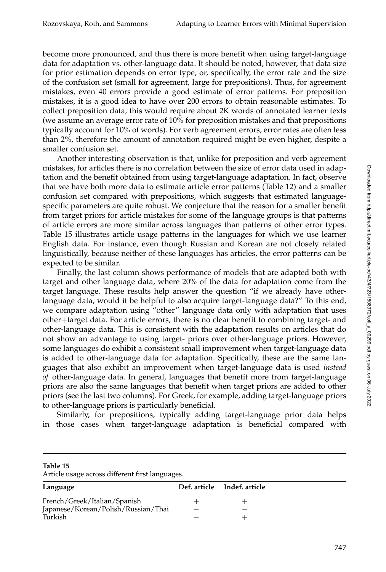become more pronounced, and thus there is more benefit when using target-language data for adaptation vs. other-language data. It should be noted, however, that data size for prior estimation depends on error type, or, specifically, the error rate and the size of the confusion set (small for agreement, large for prepositions). Thus, for agreement mistakes, even 40 errors provide a good estimate of error patterns. For preposition mistakes, it is a good idea to have over 200 errors to obtain reasonable estimates. To collect preposition data, this would require about 2K words of annotated learner texts (we assume an average error rate of 10% for preposition mistakes and that prepositions typically account for 10% of words). For verb agreement errors, error rates are often less than 2%, therefore the amount of annotation required might be even higher, despite a smaller confusion set.

Another interesting observation is that, unlike for preposition and verb agreement mistakes, for articles there is no correlation between the size of error data used in adaptation and the benefit obtained from using target-language adaptation. In fact, observe that we have both more data to estimate article error patterns (Table 12) and a smaller confusion set compared with prepositions, which suggests that estimated languagespecific parameters are quite robust. We conjecture that the reason for a smaller benefit from target priors for article mistakes for some of the language groups is that patterns of article errors are more similar across languages than patterns of other error types. Table 15 illustrates article usage patterns in the languages for which we use learner English data. For instance, even though Russian and Korean are not closely related linguistically, because neither of these languages has articles, the error patterns can be expected to be similar.

Finally, the last column shows performance of models that are adapted both with target and other language data, where 20% of the data for adaptation come from the target language. These results help answer the question "if we already have otherlanguage data, would it be helpful to also acquire target-language data?" To this end, we compare adaptation using "other" language data only with adaptation that uses other+target data. For article errors, there is no clear benefit to combining target- and other-language data. This is consistent with the adaptation results on articles that do not show an advantage to using target- priors over other-language priors. However, some languages do exhibit a consistent small improvement when target-language data is added to other-language data for adaptation. Specifically, these are the same languages that also exhibit an improvement when target-language data is used *instead of* other-language data. In general, languages that benefit more from target-language priors are also the same languages that benefit when target priors are added to other priors (see the last two columns). For Greek, for example, adding target-language priors to other-language priors is particularly beneficial.

Similarly, for prepositions, typically adding target-language prior data helps in those cases when target-language adaptation is beneficial compared with

#### **Table 15**

| Article usage across different first languages. |  |  |
|-------------------------------------------------|--|--|
|-------------------------------------------------|--|--|

| Language                            | Def. article Indef. article |
|-------------------------------------|-----------------------------|
| French/Greek/Italian/Spanish        |                             |
| Japanese/Korean/Polish/Russian/Thai |                             |
| Turkish                             |                             |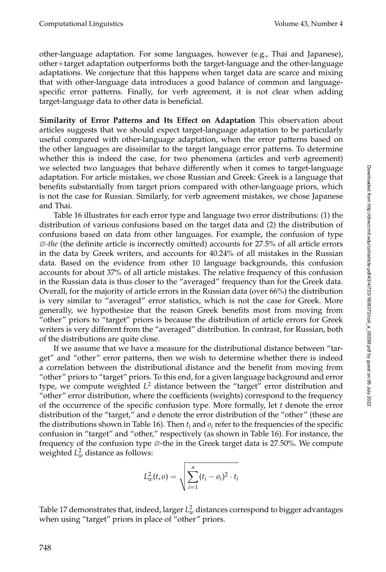other-language adaptation. For some languages, however (e.g., Thai and Japanese), other+target adaptation outperforms both the target-language and the other-language adaptations. We conjecture that this happens when target data are scarce and mixing that with other-language data introduces a good balance of common and languagespecific error patterns. Finally, for verb agreement, it is not clear when adding target-language data to other data is beneficial.

**Similarity of Error Patterns and Its Effect on Adaptation** This observation about articles suggests that we should expect target-language adaptation to be particularly useful compared with other-language adaptation, when the error patterns based on the other languages are dissimilar to the target language error patterns. To determine whether this is indeed the case, for two phenomena (articles and verb agreement) we selected two languages that behave differently when it comes to target-language adaptation. For article mistakes, we chose Russian and Greek: Greek is a language that benefits substantially from target priors compared with other-language priors, which is not the case for Russian. Similarly, for verb agreement mistakes, we chose Japanese and Thai.

Table 16 illustrates for each error type and language two error distributions: (1) the distribution of various confusions based on the target data and (2) the distribution of confusions based on data from other languages. For example, the confusion of type ∅*-the* (the definite article is incorrectly omitted) accounts for 27.5% of all article errors in the data by Greek writers, and accounts for 40.24% of all mistakes in the Russian data. Based on the evidence from other 10 language backgrounds, this confusion accounts for about 37% of all article mistakes. The relative frequency of this confusion in the Russian data is thus closer to the "averaged" frequency than for the Greek data. Overall, for the majority of article errors in the Russian data (over 66%) the distribution is very similar to "averaged" error statistics, which is not the case for Greek. More generally, we hypothesize that the reason Greek benefits most from moving from "other" priors to "target" priors is because the distribution of article errors for Greek writers is very different from the "averaged" distribution. In contrast, for Russian, both of the distributions are quite close.

If we assume that we have a measure for the distributional distance between "target" and "other" error patterns, then we wish to determine whether there is indeed a correlation between the distributional distance and the benefit from moving from "other" priors to "target" priors. To this end, for a given language background and error type, we compute weighted *L* <sup>2</sup> distance between the "target" error distribution and "other" error distribution, where the coefficients (weights) correspond to the frequency of the occurrence of the specific confusion type. More formally, let *t* denote the error distribution of the "target," and *o* denote the error distribution of the "other" (these are the distributions shown in Table 16). Then  $t_i$  and  $o_i$  refer to the frequencies of the specific confusion in "target" and "other," respectively (as shown in Table 16). For instance, the frequency of the confusion type ∅-the in the Greek target data is 27.50%. We compute weighted  $L^2_w$  distance as follows:

$$
L_w^2(t, o) = \sqrt{\sum_{i=1}^n (t_i - o_i)^2 \cdot t_i}
$$

Table 17 demonstrates that, indeed, larger  $L^2_w$  distances correspond to bigger advantages when using "target" priors in place of "other" priors.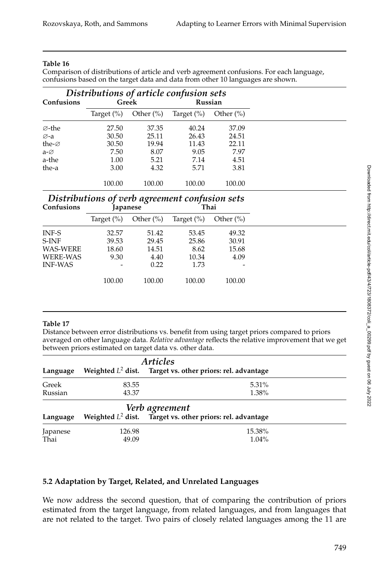Comparison of distributions of article and verb agreement confusions. For each language, confusions based on the target data and data from other 10 languages are shown.

|                    | Distributions of article confusion sets |               |               |               |  |  |  |
|--------------------|-----------------------------------------|---------------|---------------|---------------|--|--|--|
| Confusions         |                                         | Greek         |               | Russian       |  |  |  |
|                    | Target $(\% )$                          | Other $(\% )$ | Target $(\%)$ | Other $(\% )$ |  |  |  |
| ⊘-the              | 27.50                                   | 37.35         | 40.24         | 37.09         |  |  |  |
| ⊘-a                | 30.50                                   | 25.11         | 26.43         | 24.51         |  |  |  |
| the- $\varnothing$ | 30.50                                   | 19.94         | 11.43         | 22.11         |  |  |  |
| $a-\varnothing$    | 7.50                                    | 8.07          | 9.05          | 7.97          |  |  |  |
| a-the              | 1.00                                    | 5.21          | 7.14          | 4.51          |  |  |  |
| the-a              | 3.00                                    | 4.32          | 5.71          | 3.81          |  |  |  |
|                    | 100.00                                  | 100.00        | 100.00        | 100.00        |  |  |  |

# *Distributions of verb agreement confusion sets*

| Confusions      | <i>d</i> apanese |               | Thai           |               |  |  |
|-----------------|------------------|---------------|----------------|---------------|--|--|
|                 | Target $(\% )$   | Other $(\% )$ | Target $(\% )$ | Other $(\% )$ |  |  |
| <b>INF-S</b>    | 32.57            | 51.42         | 53.45          | 49.32         |  |  |
| $S$ -INF        | 39.53            | 29.45         | 25.86          | 30.91         |  |  |
| <b>WAS-WERE</b> | 18.60            | 14.51         | 8.62           | 15.68         |  |  |
| <b>WERE-WAS</b> | 9.30             | 4.40          | 10.34          | 4.09          |  |  |
| <b>INF-WAS</b>  |                  | 0.22          | 1.73           |               |  |  |
|                 | 100.00           | 100.00        | 100.00         | 100.00        |  |  |

#### **Table 17**

Distance between error distributions vs. benefit from using target priors compared to priors averaged on other language data. *Relative advantage* reflects the relative improvement that we get between priors estimated on target data vs. other data.

|          |                      | <b>Articles</b>                                              |  |
|----------|----------------------|--------------------------------------------------------------|--|
| Language | Weighted $L^2$ dist. | Target vs. other priors: rel. advantage                      |  |
| Greek    | 83.55                | $5.31\%$                                                     |  |
| Russian  | 43.37                | 1.38%                                                        |  |
|          |                      | Verb agreement                                               |  |
| Language |                      | Weighted $L^2$ dist. Target vs. other priors: rel. advantage |  |
| Japanese | 126.98               | 15.38%                                                       |  |
| Thai     | 49.09                | $1.04\%$                                                     |  |

# **5.2 Adaptation by Target, Related, and Unrelated Languages**

We now address the second question, that of comparing the contribution of priors estimated from the target language, from related languages, and from languages that are not related to the target. Two pairs of closely related languages among the 11 are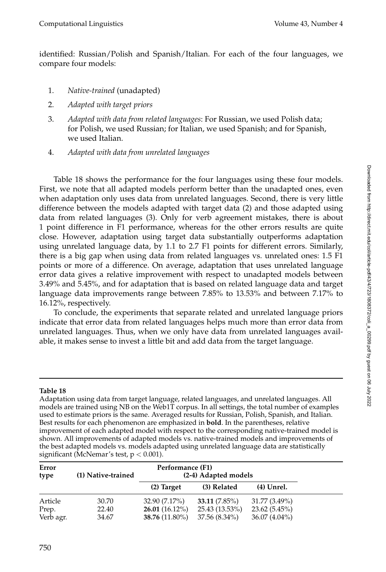identified: Russian/Polish and Spanish/Italian. For each of the four languages, we compare four models:

- 1. *Native-trained* (unadapted)
- 2. *Adapted with target priors*
- 3. *Adapted with data from related languages*: For Russian, we used Polish data; for Polish, we used Russian; for Italian, we used Spanish; and for Spanish, we used Italian.
- 4. *Adapted with data from unrelated languages*

Table 18 shows the performance for the four languages using these four models. First, we note that all adapted models perform better than the unadapted ones, even when adaptation only uses data from unrelated languages. Second, there is very little difference between the models adapted with target data (2) and those adapted using data from related languages (3). Only for verb agreement mistakes, there is about 1 point difference in F1 performance, whereas for the other errors results are quite close. However, adaptation using target data substantially outperforms adaptation using unrelated language data, by 1.1 to 2.7 F1 points for different errors. Similarly, there is a big gap when using data from related languages vs. unrelated ones: 1.5 F1 points or more of a difference. On average, adaptation that uses unrelated language error data gives a relative improvement with respect to unadapted models between 3.49% and 5.45%, and for adaptation that is based on related language data and target language data improvements range between 7.85% to 13.53% and between 7.17% to 16.12%, respectively.

To conclude, the experiments that separate related and unrelated language priors indicate that error data from related languages helps much more than error data from unrelated languages. Thus, when we only have data from unrelated languages available, it makes sense to invest a little bit and add data from the target language.

# **Table 18**

Adaptation using data from target language, related languages, and unrelated languages. All models are trained using NB on the Web1T corpus. In all settings, the total number of examples used to estimate priors is the same. Averaged results for Russian, Polish, Spanish, and Italian. Best results for each phenomenon are emphasized in **bold**. In the parentheses, relative improvement of each adapted model with respect to the corresponding native-trained model is shown. All improvements of adapted models vs. native-trained models and improvements of the best adapted models vs. models adapted using unrelated language data are statistically significant (McNemar's test,  $p < 0.001$ ).

| Error<br>type      | (1) Native-trained | Performance (F1)<br>(2-4) Adapted models |                                 |                                 |  |
|--------------------|--------------------|------------------------------------------|---------------------------------|---------------------------------|--|
|                    |                    | (2) Target                               | (3) Related                     | $(4)$ Unrel.                    |  |
| Article            | 30.70              | 32.90(7.17%)                             | 33.11 $(7.85\%)$                | 31.77 (3.49%)                   |  |
| Prep.<br>Verb agr. | 22.40<br>34.67     | $26.01(16.12\%)$<br>38.76 $(11.80\%)$    | 25.43 (13.53%)<br>37.56 (8.34%) | 23.62(5.45%)<br>$36.07(4.04\%)$ |  |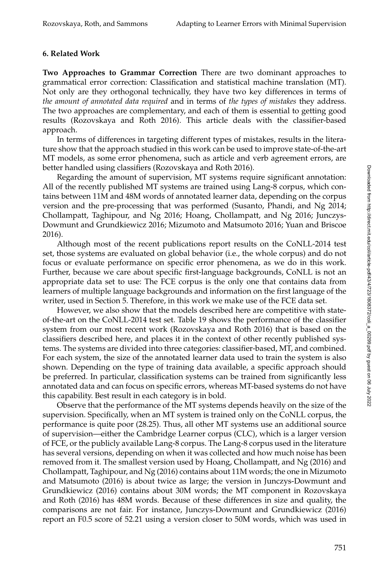# **6. Related Work**

**Two Approaches to Grammar Correction** There are two dominant approaches to grammatical error correction: Classification and statistical machine translation (MT). Not only are they orthogonal technically, they have two key differences in terms of *the amount of annotated data required* and in terms of *the types of mistakes* they address. The two approaches are complementary, and each of them is essential to getting good results (Rozovskaya and Roth 2016). This article deals with the classifier-based approach.

In terms of differences in targeting different types of mistakes, results in the literature show that the approach studied in this work can be used to improve state-of-the-art MT models, as some error phenomena, such as article and verb agreement errors, are better handled using classifiers (Rozovskaya and Roth 2016).

Regarding the amount of supervision, MT systems require significant annotation: All of the recently published MT systems are trained using Lang-8 corpus, which contains between 11M and 48M words of annotated learner data, depending on the corpus version and the pre-processing that was performed (Susanto, Phandi, and Ng 2014; Chollampatt, Taghipour, and Ng 2016; Hoang, Chollampatt, and Ng 2016; Junczys-Dowmunt and Grundkiewicz 2016; Mizumoto and Matsumoto 2016; Yuan and Briscoe 2016).

Although most of the recent publications report results on the CoNLL-2014 test set, those systems are evaluated on global behavior (i.e., the whole corpus) and do not focus or evaluate performance on specific error phenomena, as we do in this work. Further, because we care about specific first-language backgrounds, CoNLL is not an appropriate data set to use: The FCE corpus is the only one that contains data from learners of multiple language backgrounds and information on the first language of the writer, used in Section 5. Therefore, in this work we make use of the FCE data set.

However, we also show that the models described here are competitive with stateof-the-art on the CoNLL-2014 test set. Table 19 shows the performance of the classifier system from our most recent work (Rozovskaya and Roth 2016) that is based on the classifiers described here, and places it in the context of other recently published systems. The systems are divided into three categories: classifier-based, MT, and combined. For each system, the size of the annotated learner data used to train the system is also shown. Depending on the type of training data available, a specific approach should be preferred. In particular, classification systems can be trained from significantly less annotated data and can focus on specific errors, whereas MT-based systems do not have this capability. Best result in each category is in bold.

Observe that the performance of the MT systems depends heavily on the size of the supervision. Specifically, when an MT system is trained only on the CoNLL corpus, the performance is quite poor (28.25). Thus, all other MT systems use an additional source of supervision—either the Cambridge Learner corpus (CLC), which is a larger version of FCE, or the publicly available Lang-8 corpus. The Lang-8 corpus used in the literature has several versions, depending on when it was collected and how much noise has been removed from it. The smallest version used by Hoang, Chollampatt, and Ng (2016) and Chollampatt, Taghipour, and Ng (2016) contains about 11M words; the one in Mizumoto and Matsumoto (2016) is about twice as large; the version in Junczys-Dowmunt and Grundkiewicz (2016) contains about 30M words; the MT component in Rozovskaya and Roth (2016) has 48M words. Because of these differences in size and quality, the comparisons are not fair. For instance, Junczys-Dowmunt and Grundkiewicz (2016) report an F0.5 score of 52.21 using a version closer to 50M words, which was used in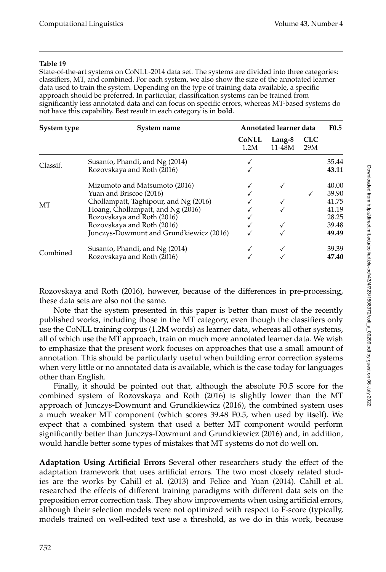State-of-the-art systems on CoNLL-2014 data set. The systems are divided into three categories: classifiers, MT, and combined. For each system, we also show the size of the annotated learner data used to train the system. Depending on the type of training data available, a specific approach should be preferred. In particular, classification systems can be trained from significantly less annotated data and can focus on specific errors, whereas MT-based systems do not have this capability. Best result in each category is in **bold**.

| System type | System name                             | Annotated learner data | F <sub>0.5</sub> |                   |       |
|-------------|-----------------------------------------|------------------------|------------------|-------------------|-------|
|             |                                         | <b>CoNLL</b><br>1.2M   | Lang-8<br>11-48M | <b>CLC</b><br>29M |       |
| Classif.    | Susanto, Phandi, and Ng (2014)          |                        |                  |                   | 35.44 |
|             | Rozovskaya and Roth (2016)              |                        |                  |                   | 43.11 |
|             | Mizumoto and Matsumoto (2016)           |                        |                  |                   | 40.00 |
|             | Yuan and Briscoe (2016)                 |                        |                  |                   | 39.90 |
|             | Chollampatt, Taghipour, and Ng (2016)   |                        |                  |                   | 41.75 |
| MT          | Hoang, Chollampatt, and Ng (2016)       |                        |                  |                   | 41.19 |
|             | Rozovskaya and Roth (2016)              |                        |                  |                   | 28.25 |
|             | Rozovskaya and Roth (2016)              |                        |                  |                   | 39.48 |
|             | Junczys-Dowmunt and Grundkiewicz (2016) |                        |                  |                   | 49.49 |
|             | Susanto, Phandi, and Ng (2014)          |                        |                  |                   | 39.39 |
| Combined    | Rozovskaya and Roth (2016)              |                        |                  |                   | 47.40 |

Rozovskaya and Roth (2016), however, because of the differences in pre-processing, these data sets are also not the same.

Note that the system presented in this paper is better than most of the recently published works, including those in the MT category, even though the classifiers only use the CoNLL training corpus (1.2M words) as learner data, whereas all other systems, all of which use the MT approach, train on much more annotated learner data. We wish to emphasize that the present work focuses on approaches that use a small amount of annotation. This should be particularly useful when building error correction systems when very little or no annotated data is available, which is the case today for languages other than English.

Finally, it should be pointed out that, although the absolute F0.5 score for the combined system of Rozovskaya and Roth (2016) is slightly lower than the MT approach of Junczys-Dowmunt and Grundkiewicz (2016), the combined system uses a much weaker MT component (which scores 39.48 F0.5, when used by itself). We expect that a combined system that used a better MT component would perform significantly better than Junczys-Dowmunt and Grundkiewicz (2016) and, in addition, would handle better some types of mistakes that MT systems do not do well on.

**Adaptation Using Artificial Errors** Several other researchers study the effect of the adaptation framework that uses artificial errors. The two most closely related studies are the works by Cahill et al. (2013) and Felice and Yuan (2014). Cahill et al. researched the effects of different training paradigms with different data sets on the preposition error correction task. They show improvements when using artificial errors, although their selection models were not optimized with respect to F-score (typically, models trained on well-edited text use a threshold, as we do in this work, because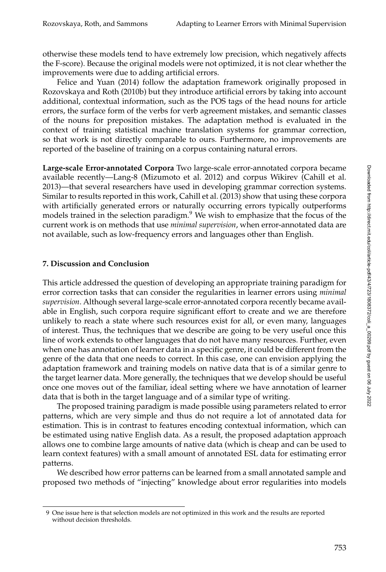otherwise these models tend to have extremely low precision, which negatively affects the F-score). Because the original models were not optimized, it is not clear whether the improvements were due to adding artificial errors.

Felice and Yuan (2014) follow the adaptation framework originally proposed in Rozovskaya and Roth (2010b) but they introduce artificial errors by taking into account additional, contextual information, such as the POS tags of the head nouns for article errors, the surface form of the verbs for verb agreement mistakes, and semantic classes of the nouns for preposition mistakes. The adaptation method is evaluated in the context of training statistical machine translation systems for grammar correction, so that work is not directly comparable to ours. Furthermore, no improvements are reported of the baseline of training on a corpus containing natural errors.

**Large-scale Error-annotated Corpora** Two large-scale error-annotated corpora became available recently—Lang-8 (Mizumoto et al. 2012) and corpus Wikirev (Cahill et al. 2013)—that several researchers have used in developing grammar correction systems. Similar to results reported in this work, Cahill et al. (2013) show that using these corpora with artificially generated errors or naturally occurring errors typically outperforms models trained in the selection paradigm.<sup>9</sup> We wish to emphasize that the focus of the current work is on methods that use *minimal supervision*, when error-annotated data are not available, such as low-frequency errors and languages other than English.

# **7. Discussion and Conclusion**

This article addressed the question of developing an appropriate training paradigm for error correction tasks that can consider the regularities in learner errors using *minimal supervision*. Although several large-scale error-annotated corpora recently became available in English, such corpora require significant effort to create and we are therefore unlikely to reach a state where such resources exist for all, or even many, languages of interest. Thus, the techniques that we describe are going to be very useful once this line of work extends to other languages that do not have many resources. Further, even when one has annotation of learner data in a specific genre, it could be different from the genre of the data that one needs to correct. In this case, one can envision applying the adaptation framework and training models on native data that is of a similar genre to the target learner data. More generally, the techniques that we develop should be useful once one moves out of the familiar, ideal setting where we have annotation of learner data that is both in the target language and of a similar type of writing.

The proposed training paradigm is made possible using parameters related to error patterns, which are very simple and thus do not require a lot of annotated data for estimation. This is in contrast to features encoding contextual information, which can be estimated using native English data. As a result, the proposed adaptation approach allows one to combine large amounts of native data (which is cheap and can be used to learn context features) with a small amount of annotated ESL data for estimating error patterns.

We described how error patterns can be learned from a small annotated sample and proposed two methods of "injecting" knowledge about error regularities into models

<sup>9</sup> One issue here is that selection models are not optimized in this work and the results are reported without decision thresholds.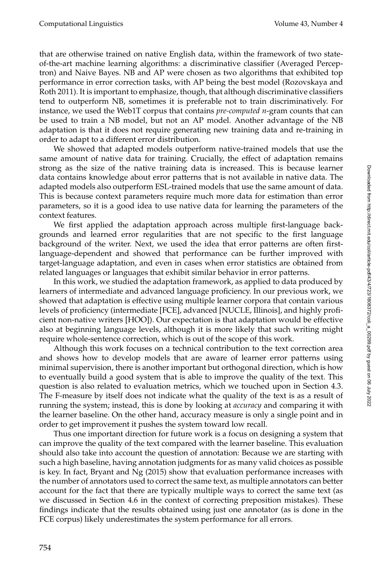that are otherwise trained on native English data, within the framework of two stateof-the-art machine learning algorithms: a discriminative classifier (Averaged Perceptron) and Naive Bayes. NB and AP were chosen as two algorithms that exhibited top performance in error correction tasks, with AP being the best model (Rozovskaya and Roth 2011). It is important to emphasize, though, that although discriminative classifiers tend to outperform NB, sometimes it is preferable not to train discriminatively. For instance, we used the Web1T corpus that contains *pre-computed n*-gram counts that can be used to train a NB model, but not an AP model. Another advantage of the NB adaptation is that it does not require generating new training data and re-training in order to adapt to a different error distribution.

We showed that adapted models outperform native-trained models that use the same amount of native data for training. Crucially, the effect of adaptation remains strong as the size of the native training data is increased. This is because learner data contains knowledge about error patterns that is not available in native data. The adapted models also outperform ESL-trained models that use the same amount of data. This is because context parameters require much more data for estimation than error parameters, so it is a good idea to use native data for learning the parameters of the context features.

We first applied the adaptation approach across multiple first-language backgrounds and learned error regularities that are not specific to the first language background of the writer. Next, we used the idea that error patterns are often firstlanguage-dependent and showed that performance can be further improved with target-language adaptation, and even in cases when error statistics are obtained from related languages or languages that exhibit similar behavior in error patterns.

In this work, we studied the adaptation framework, as applied to data produced by learners of intermediate and advanced language proficiency. In our previous work, we showed that adaptation is effective using multiple learner corpora that contain various levels of proficiency (intermediate [FCE], advanced [NUCLE, Illinois], and highly proficient non-native writers [HOO]). Our expectation is that adaptation would be effective also at beginning language levels, although it is more likely that such writing might require whole-sentence correction, which is out of the scope of this work.

Although this work focuses on a technical contribution to the text correction area and shows how to develop models that are aware of learner error patterns using minimal supervision, there is another important but orthogonal direction, which is how to eventually build a good system that is able to improve the quality of the text. This question is also related to evaluation metrics, which we touched upon in Section 4.3. The F-measure by itself does not indicate what the quality of the text is as a result of running the system; instead, this is done by looking at *accuracy* and comparing it with the learner baseline. On the other hand, accuracy measure is only a single point and in order to get improvement it pushes the system toward low recall.

Thus one important direction for future work is a focus on designing a system that can improve the quality of the text compared with the learner baseline. This evaluation should also take into account the question of annotation: Because we are starting with such a high baseline, having annotation judgments for as many valid choices as possible is key. In fact, Bryant and Ng (2015) show that evaluation performance increases with the number of annotators used to correct the same text, as multiple annotators can better account for the fact that there are typically multiple ways to correct the same text (as we discussed in Section 4.6 in the context of correcting preposition mistakes). These findings indicate that the results obtained using just one annotator (as is done in the FCE corpus) likely underestimates the system performance for all errors.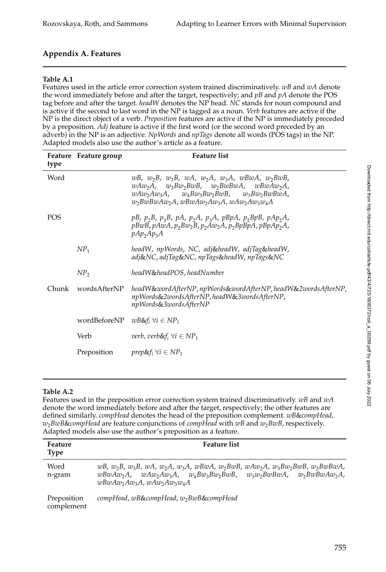# **Appendix A. Features**

#### **Table A.1**

Features used in the article error correction system trained discriminatively. *wB* and *wA* denote the word immediately before and after the target, respectively; and *pB* and *pA* denote the POS tag before and after the target. *headW* denotes the NP head. *NC* stands for noun compound and is active if the second to last word in the NP is tagged as a noun. *Verb* features are active if the NP is the direct object of a verb. *Preposition* features are active if the NP is immediately preceded by a preposition. *Adj* feature is active if the first word (or the second word preceded by an adverb) in the NP is an adjective. *NpWords* and *npTags* denote all words (POS tags) in the NP. Adapted models also use the author's article as a feature.

| type  | Feature Feature group | <b>Feature list</b>                                                                                                                                                                                                                                                                                                                                       |
|-------|-----------------------|-----------------------------------------------------------------------------------------------------------------------------------------------------------------------------------------------------------------------------------------------------------------------------------------------------------------------------------------------------------|
| Word  |                       | $wB$ , $w_2B$ , $w_3B$ , $wA$ , $w_2A$ , $w_3A$ , $wBwA$ , $w_2BwB$ ,<br>$wAw_2A$ , $w_3Bw_2BwB$ , $w_2BwBwA$ , $wBwAw_2A$ ,<br>$w_4 B w_3 B w_2 B w B$ , $w_3 B w_2 B w B w A$ ,<br>wAw <sub>2</sub> Aw <sub>3</sub> A,<br>w <sub>2</sub> BwBwAw <sub>2</sub> A, wBwAw <sub>2</sub> Aw <sub>3</sub> A, wAw <sub>2</sub> Aw <sub>3</sub> w <sub>4</sub> A |
| POS   |                       | $pB$ , $p_2B$ , $p_3B$ , $pA$ , $p_2A$ , $p_3A$ , $pBpA$ , $p_2BpB$ , $pAp_2A$ ,<br>$pBwB$ , $pA\omega A$ , $p_2Bw_2B$ , $p_2Aw_2A$ , $p_2BpBpA$ , $pBpAp_2A$ ,<br>$pAp_2Ap_2A$                                                                                                                                                                           |
|       | NP <sub>1</sub>       | headW, npWords, NC, adj&headW, adjTag&headW,<br>adj&NC, adjTag&NC, npTags&headW, npTags&NC                                                                                                                                                                                                                                                                |
|       | NP <sub>2</sub>       | headW&headPOS, headNumber                                                                                                                                                                                                                                                                                                                                 |
| Chunk | wordsAfterNP          | headW&wordAfterNP, npWords&wordAfterNP, headW&2wordsAfterNP,<br>npWords&2wordsAfterNP, headW&3wordsAfterNP,<br>npWords&3wordsAfterNP                                                                                                                                                                                                                      |
|       |                       | wordBeforeNP $wB\&f_i \forall i \in NP_1$                                                                                                                                                                                                                                                                                                                 |
|       | Verb                  | verb, verb $\&f_i \; \forall i \in NP_1$                                                                                                                                                                                                                                                                                                                  |
|       |                       | Preposition $prep&f_i \forall i \in NP_1$                                                                                                                                                                                                                                                                                                                 |

#### **Table A.2**

Features used in the preposition error correction system trained discriminatively. *wB* and *wA* denote the word immediately before and after the target, respectively; the other features are defined similarly. *compHead* denotes the head of the preposition complement. *wB*&*compHead*, *w*2*BwB*&*compHead* are feature conjunctions of *compHead* with *wB* and *w*2*BwB*, respectively. Adapted models also use the author's preposition as a feature.

| Feature<br><b>Type</b>    | <b>Feature</b> list                                                                                                                                                                                  |
|---------------------------|------------------------------------------------------------------------------------------------------------------------------------------------------------------------------------------------------|
| Word<br>n-gram            | $wB, w_2B, w_3B, wA, w_2A, w_3A, wBwA, w_2BwB, wAw_2A, w_3Bw_2BwB, w_2BwBwA,$<br>$wBwAw_2A$ , $wAw_2Aw_3A$ , $w_4Bw_3Bw_2BwB$ , $w_3w_2BwBwA$ , $w_2BwBwAw_2A$ ,<br>$wBwAw_2Aw_3A$ , $wAw_2Aw_3w_4A$ |
| Preposition<br>complement | compHead, wB&compHead, w <sub>2</sub> BwB&compHead                                                                                                                                                   |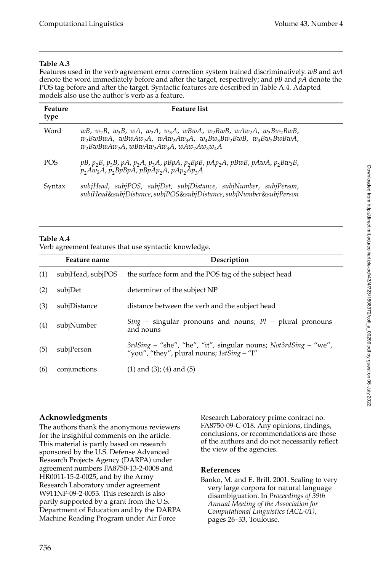# **Table A.3**

Features used in the verb agreement error correction system trained discriminatively. *wB* and *wA* denote the word immediately before and after the target, respectively; and *pB* and *pA* denote the POS tag before and after the target. Syntactic features are described in Table A.4. Adapted models also use the author's verb as a feature.

| <b>Feature</b><br>type | <b>Feature list</b>                                                                                                                                                                                                                  |
|------------------------|--------------------------------------------------------------------------------------------------------------------------------------------------------------------------------------------------------------------------------------|
| Word                   | $wB$ , $w_2B$ , $w_3B$ , $wA$ , $w_2A$ , $w_3A$ , $wBwA$ , $w_2BwB$ , $wAw_2A$ , $w_3Bw_2BwB$ ,<br>$w_2BwBwA$ , $wBwAw_2A$ , $wAw_2Aw_3A$ , $w_4Bw_3Bw_2BwB$ , $w_3Bw_2BwBwA$ ,<br>$w_2BwBwAw_2A$ , $wBwAw_2Aw_3A$ , $wAw_2Aw_3w_4A$ |
| <b>POS</b>             | $pB, p_2B, p_3B, pA, p_2A, p_3A, pBpA, p_2Bp, pAp_2A, pBwB, pAwA, p_2Bw_2B,$<br>$p_2Aw_2A$ , $p_2BpBpA$ , $pBpAp_2A$ , $pAp_2Ap_3A$                                                                                                  |
| Syntax                 | subjHead, subjPOS, subjDet, subjDistance, subjNumber, subjPerson,<br>subjHead&subjDistance, subjPOS&subjDistance, subjNumber&subjPerson                                                                                              |

## **Table A.4**

Verb agreement features that use syntactic knowledge.

| Feature name |                   | Description                                                                                                     |  |
|--------------|-------------------|-----------------------------------------------------------------------------------------------------------------|--|
| (1)          | subjHead, subjPOS | the surface form and the POS tag of the subject head                                                            |  |
| (2)          | subjDet           | determiner of the subject NP                                                                                    |  |
| (3)          | subjDistance      | distance between the verb and the subject head                                                                  |  |
| (4)          | subjNumber        | $Sing$ – singular pronouns and nouns; $Pl$ – plural pronouns<br>and nouns                                       |  |
| (5)          | subjPerson        | 3rdSing - "she", "he", "it", singular nouns; Not3rdSing - "we",<br>"you", "they", plural nouns; $1stSing - T''$ |  |
| (6)          | conjunctions      | $(1)$ and $(3)$ ; $(4)$ and $(5)$                                                                               |  |

# **Acknowledgments**

The authors thank the anonymous reviewers for the insightful comments on the article. This material is partly based on research sponsored by the U.S. Defense Advanced Research Projects Agency (DARPA) under agreement numbers FA8750-13-2-0008 and HR0011-15-2-0025, and by the Army Research Laboratory under agreement W911NF-09-2-0053. This research is also partly supported by a grant from the U.S. Department of Education and by the DARPA Machine Reading Program under Air Force

Research Laboratory prime contract no. FA8750-09-C-018. Any opinions, findings, conclusions, or recommendations are those of the authors and do not necessarily reflect the view of the agencies.

# **References**

Banko, M. and E. Brill. 2001. Scaling to very very large corpora for natural language disambiguation. In *Proceedings of 39th Annual Meeting of the Association for Computational Linguistics (ACL-01)*, pages 26–33, Toulouse.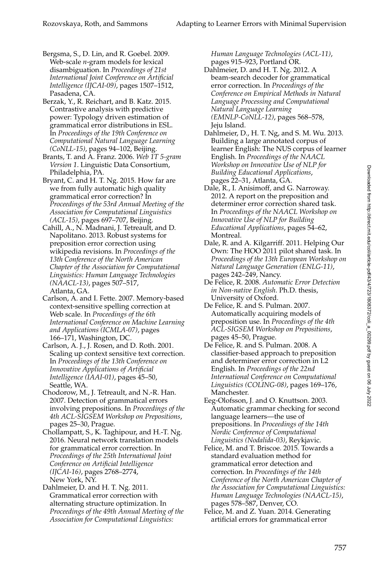- Bergsma, S., D. Lin, and R. Goebel. 2009. Web-scale *n*-gram models for lexical disambiguation. In *Proceedings of 21st International Joint Conference on Artificial Intelligence (IJCAI-09)*, pages 1507–1512, Pasadena, CA.
- Berzak, Y., R. Reichart, and B. Katz. 2015. Contrastive analysis with predictive power: Typology driven estimation of grammatical error distributions in ESL. In *Proceedings of the 19th Conference on Computational Natural Language Learning (CoNLL-15)*, pages 94–102, Beijing.
- Brants, T. and A. Franz. 2006. *Web 1T 5-gram Version 1*. Linguistic Data Consortium, Philadelphia, PA.

Bryant, C. and H. T. Ng. 2015. How far are we from fully automatic high quality grammatical error correction? In *Proceedings of the 53rd Annual Meeting of the Association for Computational Linguistics (ACL-15)*, pages 697–707, Beijing.

Cahill, A., N. Madnani, J. Tetreault, and D. Napolitano. 2013. Robust systems for preposition error correction using wikipedia revisions. In *Proceedings of the 13th Conference of the North American Chapter of the Association for Computational Linguistics: Human Language Technologies (NAACL-13)*, pages 507–517, Atlanta, GA.

Carlson, A. and I. Fette. 2007. Memory-based context-sensitive spelling correction at Web scale. In *Proceedings of the 6th International Conference on Machine Learning and Applications (ICMLA-07)*, pages 166–171, Washington, DC.

Carlson, A. J., J. Rosen, and D. Roth. 2001. Scaling up context sensitive text correction. In *Proceedings of the 13th Conference on Innovative Applications of Artificial Intelligence (IAAI-01)*, pages 45–50, Seattle, WA.

Chodorow, M., J. Tetreault, and N.-R. Han. 2007. Detection of grammatical errors involving prepositions. In *Proceedings of the 4th ACL-SIGSEM Workshop on Prepositions*, pages 25–30, Prague.

Chollampatt, S., K. Taghipour, and H.-T. Ng. 2016. Neural network translation models for grammatical error correction. In *Proceedings of the 25th International Joint Conference on Artificial Intelligence (IJCAI-16)*, pages 2768–2774, New York, NY.

Dahlmeier, D. and H. T. Ng. 2011. Grammatical error correction with alternating structure optimization. In *Proceedings of the 49th Annual Meeting of the Association for Computational Linguistics:*

*Human Language Technologies (ACL-11)*, pages 915–923, Portland OR.

- Dahlmeier, D. and H. T. Ng. 2012. A beam-search decoder for grammatical error correction. In *Proceedings of the Conference on Empirical Methods in Natural Language Processing and Computational Natural Language Learning (EMNLP-CoNLL-12)*, pages 568–578, Jeju Island.
- Dahlmeier, D., H. T. Ng, and S. M. Wu. 2013. Building a large annotated corpus of learner English: The NUS corpus of learner English. In *Proceedings of the NAACL Workshop on Innovative Use of NLP for Building Educational Applications*, pages 22–31, Atlanta, GA.
- Dale, R., I. Anisimoff, and G. Narroway. 2012. A report on the preposition and determiner error correction shared task. In *Proceedings of the NAACL Workshop on Innovative Use of NLP for Building Educational Applications*, pages 54–62, Montreal.
- Dale, R. and A. Kilgarriff. 2011. Helping Our Own: The HOO 2011 pilot shared task. In *Proceedings of the 13th European Workshop on Natural Language Generation (ENLG-11)*, pages 242–249, Nancy.
- De Felice, R. 2008. *Automatic Error Detection in Non-native English*. Ph.D. thesis, University of Oxford.
- De Felice, R. and S. Pulman. 2007. Automatically acquiring models of preposition use. In *Proceedings of the 4th ACL-SIGSEM Workshop on Prepositions*, pages 45–50, Prague.
- De Felice, R. and S. Pulman. 2008. A classifier-based approach to preposition and determiner error correction in L2 English. In *Proceedings of the 22nd International Conference on Computational Linguistics (COLING-08)*, pages 169–176, Manchester.
- Eeg-Olofsson, J. and O. Knuttson. 2003. Automatic grammar checking for second language learners—the use of prepositions. In *Proceedings of the 14th Nordic Conference of Computational Linguistics (Nodalida-03)*, Reykjavic.
- Felice, M. and T. Briscoe. 2015. Towards a standard evaluation method for grammatical error detection and correction. In *Proceedings of the 14th Conference of the North American Chapter of the Association for Computational Linguistics: Human Language Technologies (NAACL-15)*, pages 578–587, Denver, CO.
- Felice, M. and Z. Yuan. 2014. Generating artificial errors for grammatical error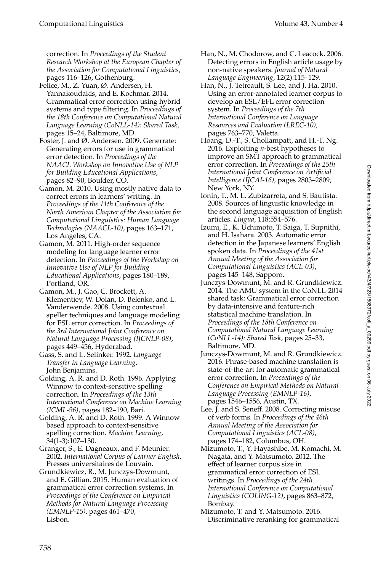correction. In *Proceedings of the Student Research Workshop at the European Chapter of the Association for Computational Linguistics*, pages 116–126, Gothenburg.

- Felice, M., Z. Yuan, Ø. Andersen, H. Yannakoudakis, and E. Kochmar. 2014. Grammatical error correction using hybrid systems and type filtering. In *Proceedings of the 18th Conference on Computational Natural Language Learning (CoNLL-14): Shared Task*, pages 15–24, Baltimore, MD.
- Foster, J. and Ø. Andersen. 2009. Generrate: Generating errors for use in grammatical error detection. In *Proceedings of the NAACL Workshop on Innovative Use of NLP for Building Educational Applications*, pages 82–90, Boulder, CO.
- Gamon, M. 2010. Using mostly native data to correct errors in learners' writing. In *Proceedings of the 11th Conference of the North American Chapter of the Association for Computational Linguistics: Human Language Technologies (NAACL-10)*, pages 163–171, Los Angeles, CA.
- Gamon, M. 2011. High-order sequence modeling for language learner error detection. In *Proceedings of the Workshop on Innovative Use of NLP for Building Educational Applications*, pages 180–189, Portland, OR.
- Gamon, M., J. Gao, C. Brockett, A. Klementiev, W. Dolan, D. Belenko, and L. Vanderwende. 2008. Using contextual speller techniques and language modeling for ESL error correction. In *Proceedings of the 3rd International Joint Conference on Natural Language Processing (IJCNLP-08)*, pages 449–456, Hyderabad.
- Gass, S. and L. Selinker. 1992. *Language Transfer in Language Learning*. John Benjamins.
- Golding, A. R. and D. Roth. 1996. Applying Winnow to context-sensitive spelling correction. In *Proceedings of the 13th International Conference on Machine Learning (ICML-96)*, pages 182–190, Bari.
- Golding, A. R. and D. Roth. 1999. A Winnow based approach to context-sensitive spelling correction. *Machine Learning*, 34(1-3):107–130.
- Granger, S., E. Dagneaux, and F. Meunier. 2002. *International Corpus of Learner English*. Presses universitaires de Louvain.
- Grundkiewicz, R., M. Junczys-Dowmunt, and E. Gillian. 2015. Human evaluation of grammatical error correction systems. In *Proceedings of the Conference on Empirical Methods for Natural Language Processing (EMNLP-15)*, pages 461–470, Lisbon.
- Han, N., M. Chodorow, and C. Leacock. 2006. Detecting errors in English article usage by non-native speakers. *Journal of Natural Language Engineering*, 12(2):115–129.
- Han, N., J. Tetreault, S. Lee, and J. Ha. 2010. Using an error-annotated learner corpus to develop an ESL/EFL error correction system. In *Proceedings of the 7th International Conference on Language Resources and Evaluation (LREC-10)*, pages 763–770, Valetta.
- Hoang, D.-T., S. Chollampatt, and H.-T. Ng. 2016. Exploiting *n*-best hypotheses to improve an SMT approach to grammatical error correction. In *Proceedings of the 25th International Joint Conference on Artificial Intelligence (IJCAI-16)*, pages 2803–2809, New York, NY.
- Ionin, T., M. L. Zubizarreta, and S. Bautista. 2008. Sources of linguistic knowledge in the second language acquisition of English articles. *Lingua*, 118:554–576.
- Izumi, E., K. Uchimoto, T. Saiga, T. Supnithi, and H. Isahara. 2003. Automatic error detection in the Japanese learners' English spoken data. In *Proceedings of the 41st Annual Meeting of the Association for Computational Linguistics (ACL-03)*, pages 145–148, Sapporo.
- Junczys-Dowmunt, M. and R. Grundkiewicz. 2014. The AMU system in the CoNLL-2014 shared task: Grammatical error correction by data-intensive and feature-rich statistical machine translation. In *Proceedings of the 18th Conference on Computational Natural Language Learning (CoNLL-14): Shared Task*, pages 25–33, Baltimore, MD.
- Junczys-Dowmunt, M. and R. Grundkiewicz. 2016. Phrase-based machine translation is state-of-the-art for automatic grammatical error correction. In *Proceedings of the Conference on Empirical Methods on Natural Language Processing (EMNLP-16)*, pages 1546–1556, Austin, TX.
- Lee, J. and S. Seneff. 2008. Correcting misuse of verb forms. In *Proceedings of the 46th Annual Meeting of the Association for Computational Linguistics (ACL-08)*, pages 174–182, Columbus, OH.
- Mizumoto, T., Y. Hayashibe, M. Komachi, M. Nagata, and Y. Matsumoto. 2012. The effect of learner corpus size in grammatical error correction of ESL writings. In *Proceedings of the 24th International Conference on Computational Linguistics (COLING-12)*, pages 863–872, Bombay.
- Mizumoto, T. and Y. Matsumoto. 2016. Discriminative reranking for grammatical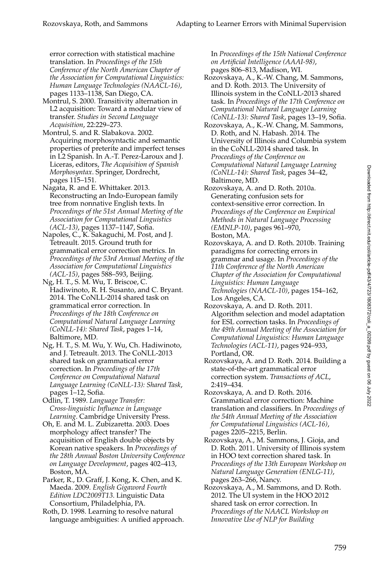error correction with statistical machine translation. In *Proceedings of the 15th Conference of the North American Chapter of the Association for Computational Linguistics: Human Language Technologies (NAACL-16)*, pages 1133–1138, San Diego, CA.

- Montrul, S. 2000. Transitivity alternation in L2 acquisition: Toward a modular view of transfer. *Studies in Second Language Acquisition*, 22:229–273.
- Montrul, S. and R. Slabakova. 2002. Acquiring morphosyntactic and semantic properties of preterite and imperfect tenses in L2 Spanish. In A.-T. Perez-Laroux and J. Liceras, editors, *The Acquisition of Spanish Morphosyntax*. Springer, Dordrecht, pages 115–151.
- Nagata, R. and E. Whittaker. 2013. Reconstructing an Indo-European family tree from nonnative English texts. In *Proceedings of the 51st Annual Meeting of the Association for Computational Linguistics (ACL-13)*, pages 1137–1147, Sofia.
- Napoles, C., K. Sakaguchi, M. Post, and J. Tetreault. 2015. Ground truth for grammatical error correction metrics. In *Proceedings of the 53rd Annual Meeting of the Association for Computational Linguistics (ACL-15)*, pages 588–593, Beijing.
- Ng, H. T., S. M. Wu, T. Briscoe, C. Hadiwinoto, R. H. Susanto, and C. Bryant. 2014. The CoNLL-2014 shared task on grammatical error correction. In *Proceedings of the 18th Conference on Computational Natural Language Learning (CoNLL-14): Shared Task*, pages 1–14, Baltimore, MD.
- Ng, H. T., S. M. Wu, Y. Wu, Ch. Hadiwinoto, and J. Tetreault. 2013. The CoNLL-2013 shared task on grammatical error correction. In *Proceedings of the 17th Conference on Computational Natural Language Learning (CoNLL-13): Shared Task*, pages 1–12, Sofia.
- Odlin, T. 1989. *Language Transfer: Cross-linguistic Influence in Language Learning*. Cambridge University Press.
- Oh, E. and M. L. Zubizaretta. 2003. Does morphology affect transfer? The acquisition of English double objects by Korean native speakers. In *Proceedings of the 28th Annual Boston University Conference on Language Development*, pages 402–413, Boston, MA.
- Parker, R., D. Graff, J. Kong, K. Chen, and K. Maeda. 2009. *English Gigaword Fourth Edition LDC2009T13*. Linguistic Data Consortium, Philadelphia, PA.
- Roth, D. 1998. Learning to resolve natural language ambiguities: A unified approach.

In *Proceedings of the 15th National Conference on Artificial Intelligence (AAAI-98)*, pages 806–813, Madison, WI.

- Rozovskaya, A., K.-W. Chang, M. Sammons, and D. Roth. 2013. The University of Illinois system in the CoNLL-2013 shared task. In *Proceedings of the 17th Conference on Computational Natural Language Learning (CoNLL-13): Shared Task*, pages 13–19, Sofia.
- Rozovskaya, A., K.-W. Chang, M. Sammons, D. Roth, and N. Habash. 2014. The University of Illinois and Columbia system in the CoNLL-2014 shared task. In *Proceedings of the Conference on Computational Natural Language Learning (CoNLL-14): Shared Task*, pages 34–42, Baltimore, MD.
- Rozovskaya, A. and D. Roth. 2010a. Generating confusion sets for context-sensitive error correction. In *Proceedings of the Conference on Empirical Methods in Natural Language Processing (EMNLP-10)*, pages 961–970, Boston, MA.
- Rozovskaya, A. and D. Roth. 2010b. Training paradigms for correcting errors in grammar and usage. In *Proceedings of the 11th Conference of the North American Chapter of the Association for Computational Linguistics: Human Language Technologies (NAACL-10)*, pages 154–162, Los Angeles, CA.
- Rozovskaya, A. and D. Roth. 2011. Algorithm selection and model adaptation for ESL correction tasks. In *Proceedings of the 49th Annual Meeting of the Association for Computational Linguistics: Human Language Technologies (ACL-11)*, pages 924–933, Portland, OR.
- Rozovskaya, A. and D. Roth. 2014. Building a state-of-the-art grammatical error correction system. *Transactions of ACL*, 2:419–434.
- Rozovskaya, A. and D. Roth. 2016. Grammatical error correction: Machine translation and classifiers. In *Proceedings of the 54th Annual Meeting of the Association for Computational Linguistics (ACL-16)*, pages 2205–2215, Berlin.
- Rozovskaya, A., M. Sammons, J. Gioja, and D. Roth. 2011. University of Illinois system in HOO text correction shared task. In *Proceedings of the 13th European Workshop on Natural Language Generation (ENLG-11)*, pages 263–266, Nancy.
- Rozovskaya, A., M. Sammons, and D. Roth. 2012. The UI system in the HOO 2012 shared task on error correction. In *Proceedings of the NAACL Workshop on Innovative Use of NLP for Building*